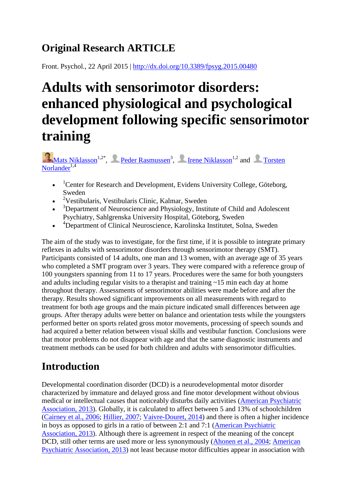# **Original Research ARTICLE**

Front. Psychol., 22 April 2015 |<http://dx.doi.org/10.3389/fpsyg.2015.00480>

# **Adults with sensorimotor disorders: enhanced physiological and psychological development following specific sensorimotor training**

[Mats Niklasson](http://frontiersin.org/people/u/182797)<sup>1,2\*</sup>, [P](http://frontiersin.org/people/u/183305)eder [Rasmussen](http://frontiersin.org/people/u/183305)<sup>3</sup>, [Irene Niklasson](http://frontiersin.org/people/u/215801)<sup>1,2</sup> and Torsten [Norlander](http://frontiersin.org/people/u/215827) $1,4$ 

- $\bullet$  <sup>1</sup>Center for Research and Development, Evidens University College, Göteborg, Sweden
- $\bullet$  <sup>2</sup>Vestibularis, Vestibularis Clinic, Kalmar, Sweden
- $\bullet$  <sup>3</sup>Department of Neuroscience and Physiology, Institute of Child and Adolescent Psychiatry, Sahlgrenska University Hospital, Göteborg, Sweden
- <sup>4</sup> Department of Clinical Neuroscience, Karolinska Institutet, Solna, Sweden

The aim of the study was to investigate, for the first time, if it is possible to integrate primary reflexes in adults with sensorimotor disorders through sensorimotor therapy (SMT). Participants consisted of 14 adults, one man and 13 women, with an average age of 35 years who completed a SMT program over 3 years. They were compared with a reference group of 100 youngsters spanning from 11 to 17 years. Procedures were the same for both youngsters and adults including regular visits to a therapist and training ~15 min each day at home throughout therapy. Assessments of sensorimotor abilities were made before and after the therapy. Results showed significant improvements on all measurements with regard to treatment for both age groups and the main picture indicated small differences between age groups. After therapy adults were better on balance and orientation tests while the youngsters performed better on sports related gross motor movements, processing of speech sounds and had acquired a better relation between visual skills and vestibular function. Conclusions were that motor problems do not disappear with age and that the same diagnostic instruments and treatment methods can be used for both children and adults with sensorimotor difficulties.

# **Introduction**

Developmental coordination disorder (DCD) is a neurodevelopmental motor disorder characterized by immature and delayed gross and fine motor development without obvious medical or intellectual causes that noticeably disturbs daily activities [\(American Psychiatric](http://journal.frontiersin.org/article/10.3389/fpsyg.2015.00480/full#B2)  [Association, 2013\)](http://journal.frontiersin.org/article/10.3389/fpsyg.2015.00480/full#B2). Globally, it is calculated to affect between 5 and 13% of schoolchildren [\(Cairney et al., 2006;](http://journal.frontiersin.org/article/10.3389/fpsyg.2015.00480/full#B11) [Hillier, 2007;](http://journal.frontiersin.org/article/10.3389/fpsyg.2015.00480/full#B39) [Vaivre-Douret, 2014\)](http://journal.frontiersin.org/article/10.3389/fpsyg.2015.00480/full#B88) and there is often a higher incidence in boys as opposed to girls in a ratio of between 2:1 and 7:1 [\(American Psychiatric](http://journal.frontiersin.org/article/10.3389/fpsyg.2015.00480/full#B2)  [Association, 2013\)](http://journal.frontiersin.org/article/10.3389/fpsyg.2015.00480/full#B2). Although there is agreement in respect of the meaning of the concept DCD, still other terms are used more or less synonymously [\(Ahonen et al., 2004;](http://journal.frontiersin.org/article/10.3389/fpsyg.2015.00480/full#B1) [American](http://journal.frontiersin.org/article/10.3389/fpsyg.2015.00480/full#B2)  [Psychiatric Association, 2013\)](http://journal.frontiersin.org/article/10.3389/fpsyg.2015.00480/full#B2) not least because motor difficulties appear in association with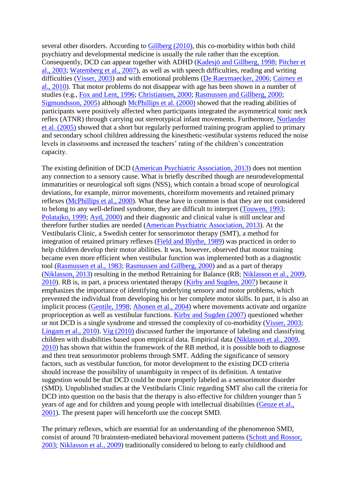several other disorders. According to [Gillberg \(2010\),](http://journal.frontiersin.org/article/10.3389/fpsyg.2015.00480/full#B34) this co-morbidity within both child psychiatry and developmental medicine is usually the rule rather than the exception. Consequently, DCD can appear together with ADHD [\(Kadesjö and Gillberg, 1998;](http://journal.frontiersin.org/article/10.3389/fpsyg.2015.00480/full#B46) [Pitcher et](http://journal.frontiersin.org/article/10.3389/fpsyg.2015.00480/full#B68)  [al., 2003;](http://journal.frontiersin.org/article/10.3389/fpsyg.2015.00480/full#B68) [Watemberg et al., 2007\)](http://journal.frontiersin.org/article/10.3389/fpsyg.2015.00480/full#B93), as well as with speech difficulties, reading and writing difficulties [\(Visser, 2003\)](http://journal.frontiersin.org/article/10.3389/fpsyg.2015.00480/full#B91) and with emotional problems [\(De Raeymaecker, 2006;](http://journal.frontiersin.org/article/10.3389/fpsyg.2015.00480/full#B22) [Cairney et](http://journal.frontiersin.org/article/10.3389/fpsyg.2015.00480/full#B12)  [al., 2010\)](http://journal.frontiersin.org/article/10.3389/fpsyg.2015.00480/full#B12). That motor problems do not disappear with age has been shown in a number of studies (e.g., [Fox and Lent, 1996;](http://journal.frontiersin.org/article/10.3389/fpsyg.2015.00480/full#B29) [Christiansen, 2000;](http://journal.frontiersin.org/article/10.3389/fpsyg.2015.00480/full#B17) [Rasmussen and Gillberg, 2000;](http://journal.frontiersin.org/article/10.3389/fpsyg.2015.00480/full#B72) [Sigmundsson, 2005\)](http://journal.frontiersin.org/article/10.3389/fpsyg.2015.00480/full#B77) although [McPhillips et al. \(2000\)](http://journal.frontiersin.org/article/10.3389/fpsyg.2015.00480/full#B52) showed that the reading abilities of participants were positively affected when participants integrated the asymmetrical tonic neck reflex (ATNR) through carrying out stereotypical infant movements. Furthermore, [Norlander](http://journal.frontiersin.org/article/10.3389/fpsyg.2015.00480/full#B62)  [et al. \(2005\)](http://journal.frontiersin.org/article/10.3389/fpsyg.2015.00480/full#B62) showed that a short but regularly performed training program applied to primary and secondary school children addressing the kinesthetic-vestibular systems reduced the noise levels in classrooms and increased the teachers' rating of the children's concentration capacity.

The existing definition of DCD [\(American Psychiatric Association, 2013\)](http://journal.frontiersin.org/article/10.3389/fpsyg.2015.00480/full#B2) does not mention any connection to a sensory cause. What is briefly described though are neurodevelopmental immaturities or neurological soft signs (NSS), which contain a broad scope of neurological deviations, for example, mirror movements, choreiform movements and retained primary reflexes [\(McPhillips et al., 2000\)](http://journal.frontiersin.org/article/10.3389/fpsyg.2015.00480/full#B52). What these have in common is that they are not considered to belong to any well-defined syndrome, they are difficult to interpret [\(Touwen, 1993;](http://journal.frontiersin.org/article/10.3389/fpsyg.2015.00480/full#B87) [Polatajko, 1999;](http://journal.frontiersin.org/article/10.3389/fpsyg.2015.00480/full#B69) [Ayd, 2000\)](http://journal.frontiersin.org/article/10.3389/fpsyg.2015.00480/full#B3) and their diagnostic and clinical value is still unclear and therefore further studies are needed [\(American Psychiatric Association, 2013\)](http://journal.frontiersin.org/article/10.3389/fpsyg.2015.00480/full#B2). At the Vestibularis Clinic, a Swedish center for sensorimotor therapy (SMT), a method for integration of retained primary reflexes [\(Field and Blythe, 1989\)](http://journal.frontiersin.org/article/10.3389/fpsyg.2015.00480/full#B26) was practiced in order to help children develop their motor abilities. It was, however, observed that motor training became even more efficient when vestibular function was implemented both as a diagnostic tool [\(Rasmussen et al., 1983;](http://journal.frontiersin.org/article/10.3389/fpsyg.2015.00480/full#B73) [Rasmussen and Gillberg, 2000\)](http://journal.frontiersin.org/article/10.3389/fpsyg.2015.00480/full#B72) and as a part of therapy [\(Niklasson, 2013\)](http://journal.frontiersin.org/article/10.3389/fpsyg.2015.00480/full#B56) resulting in the method Retraining for Balance (RB; [Niklasson et al., 2009,](http://journal.frontiersin.org/article/10.3389/fpsyg.2015.00480/full#B60) [2010\)](http://journal.frontiersin.org/article/10.3389/fpsyg.2015.00480/full#B61). RB is, in part, a process orientated therapy [\(Kirby and Sugden, 2007\)](http://journal.frontiersin.org/article/10.3389/fpsyg.2015.00480/full#B48) because it emphasizes the importance of identifying underlying sensory and motor problems, which prevented the individual from developing his or her complete motor skills. In part, it is also an implicit process [\(Gentile, 1998;](http://journal.frontiersin.org/article/10.3389/fpsyg.2015.00480/full#B31) [Ahonen et al., 2004\)](http://journal.frontiersin.org/article/10.3389/fpsyg.2015.00480/full#B1) where movements activate and organize proprioception as well as vestibular functions. [Kirby and Sugden \(2007\)](http://journal.frontiersin.org/article/10.3389/fpsyg.2015.00480/full#B48) questioned whether or not DCD is a single syndrome and stressed the complexity of co-morbidity [\(Visser, 2003;](http://journal.frontiersin.org/article/10.3389/fpsyg.2015.00480/full#B91) [Lingam et al., 2010\)](http://journal.frontiersin.org/article/10.3389/fpsyg.2015.00480/full#B51). [Vig \(2010\)](http://journal.frontiersin.org/article/10.3389/fpsyg.2015.00480/full#B90) discussed further the importance of labeling and classifying children with disabilities based upon empirical data. Empirical data [\(Niklasson et al., 2009,](http://journal.frontiersin.org/article/10.3389/fpsyg.2015.00480/full#B60) [2010\)](http://journal.frontiersin.org/article/10.3389/fpsyg.2015.00480/full#B61) has shown that within the framework of the RB method, it is possible both to diagnose and then treat sensorimotor problems through SMT. Adding the significance of sensory factors, such as vestibular function, for motor development to the existing DCD criteria should increase the possibility of unambiguity in respect of its definition. A tentative suggestion would be that DCD could be more properly labeled as a sensorimotor disorder (SMD). Unpublished studies at the Vestibularis Clinic regarding SMT also call the criteria for DCD into question on the basis that the therapy is also effective for children younger than 5 years of age and for children and young people with intellectual disabilities [\(Geuze et al.,](http://journal.frontiersin.org/article/10.3389/fpsyg.2015.00480/full#B32)  [2001\)](http://journal.frontiersin.org/article/10.3389/fpsyg.2015.00480/full#B32). The present paper will henceforth use the concept SMD.

The primary reflexes, which are essential for an understanding of the phenomenon SMD, consist of around 70 brainstem-mediated behavioral movement patterns [\(Schott and Rossor,](http://journal.frontiersin.org/article/10.3389/fpsyg.2015.00480/full#B76)  [2003;](http://journal.frontiersin.org/article/10.3389/fpsyg.2015.00480/full#B76) [Niklasson et al., 2009\)](http://journal.frontiersin.org/article/10.3389/fpsyg.2015.00480/full#B60) traditionally considered to belong to early childhood and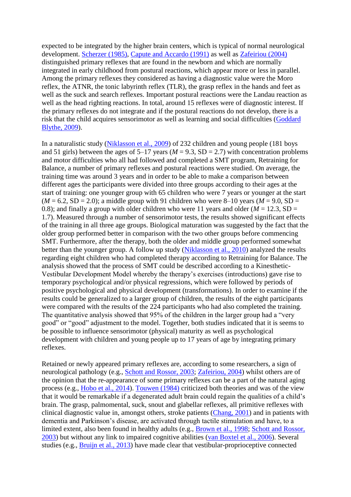expected to be integrated by the higher brain centers, which is typical of normal neurological development. [Scherzer \(1985\),](http://journal.frontiersin.org/article/10.3389/fpsyg.2015.00480/full#B74) [Capute and Accardo \(1991\)](http://journal.frontiersin.org/article/10.3389/fpsyg.2015.00480/full#B14) as well as [Zafeiriou \(2004\)](http://journal.frontiersin.org/article/10.3389/fpsyg.2015.00480/full#B95) distinguished primary reflexes that are found in the newborn and which are normally integrated in early childhood from postural reactions, which appear more or less in parallel. Among the primary reflexes they considered as having a diagnostic value were the Moro reflex, the ATNR, the tonic labyrinth reflex (TLR), the grasp reflex in the hands and feet as well as the suck and search reflexes. Important postural reactions were the Landau reaction as well as the head righting reactions. In total, around 15 reflexes were of diagnostic interest. If the primary reflexes do not integrate and if the postural reactions do not develop, there is a risk that the child acquires sensorimotor as well as learning and social difficulties [\(Goddard](http://journal.frontiersin.org/article/10.3389/fpsyg.2015.00480/full#B36)  [Blythe, 2009\)](http://journal.frontiersin.org/article/10.3389/fpsyg.2015.00480/full#B36).

In a naturalistic study [\(Niklasson et al., 2009\)](http://journal.frontiersin.org/article/10.3389/fpsyg.2015.00480/full#B60) of 232 children and young people (181 boys and 51 girls) between the ages of  $5-17$  years ( $M = 9.3$ , SD = 2.7) with concentration problems and motor difficulties who all had followed and completed a SMT program, Retraining for Balance, a number of primary reflexes and postural reactions were studied. On average, the training time was around 3 years and in order to be able to make a comparison between different ages the participants were divided into three groups according to their ages at the start of training: one younger group with 65 children who were 7 years or younger at the start  $(M = 6.2, SD = 2.0)$ ; a middle group with 91 children who were 8–10 years ( $M = 9.0$ , SD = 0.8); and finally a group with older children who were 11 years and older  $(M = 12.3, SD =$ 1.7). Measured through a number of sensorimotor tests, the results showed significant effects of the training in all three age groups. Biological maturation was suggested by the fact that the older group performed better in comparison with the two other groups before commencing SMT. Furthermore, after the therapy, both the older and middle group performed somewhat better than the younger group. A follow up study [\(Niklasson et al., 2010\)](http://journal.frontiersin.org/article/10.3389/fpsyg.2015.00480/full#B61) analyzed the results regarding eight children who had completed therapy according to Retraining for Balance. The analysis showed that the process of SMT could be described according to a Kinesthetic-Vestibular Development Model whereby the therapy's exercises (introductions) gave rise to temporary psychological and/or physical regressions, which were followed by periods of positive psychological and physical development (transformations). In order to examine if the results could be generalized to a larger group of children, the results of the eight participants were compared with the results of the 224 participants who had also completed the training. The quantitative analysis showed that 95% of the children in the larger group had a "very good" or "good" adjustment to the model. Together, both studies indicated that it is seems to be possible to influence sensorimotor (physical) maturity as well as psychological development with children and young people up to 17 years of age by integrating primary reflexes.

Retained or newly appeared primary reflexes are, according to some researchers, a sign of neurological pathology (e.g., [Schott and Rossor, 2003;](http://journal.frontiersin.org/article/10.3389/fpsyg.2015.00480/full#B76) [Zafeiriou, 2004\)](http://journal.frontiersin.org/article/10.3389/fpsyg.2015.00480/full#B95) whilst others are of the opinion that the re-appearance of some primary reflexes can be a part of the natural aging process (e.g., [Hobo et al., 2014\)](http://journal.frontiersin.org/article/10.3389/fpsyg.2015.00480/full#B40). [Touwen \(1984\)](http://journal.frontiersin.org/article/10.3389/fpsyg.2015.00480/full#B86) criticized both theories and was of the view that it would be remarkable if a degenerated adult brain could regain the qualities of a child's brain. The grasp, palmomental, suck, snout and glabellar reflexes, all primitive reflexes with clinical diagnostic value in, amongst others, stroke patients [\(Chang, 2001\)](http://journal.frontiersin.org/article/10.3389/fpsyg.2015.00480/full#B16) and in patients with dementia and Parkinson's disease, are activated through tactile stimulation and have, to a limited extent, also been found in healthy adults (e.g., [Brown et al., 1998;](http://journal.frontiersin.org/article/10.3389/fpsyg.2015.00480/full#B8) [Schott and Rossor,](http://journal.frontiersin.org/article/10.3389/fpsyg.2015.00480/full#B76)  [2003\)](http://journal.frontiersin.org/article/10.3389/fpsyg.2015.00480/full#B76) but without any link to impaired cognitive abilities [\(van Boxtel et al., 2006\)](http://journal.frontiersin.org/article/10.3389/fpsyg.2015.00480/full#B89). Several studies (e.g., [Bruijn et al., 2013\)](http://journal.frontiersin.org/article/10.3389/fpsyg.2015.00480/full#B9) have made clear that vestibular-proprioceptive connected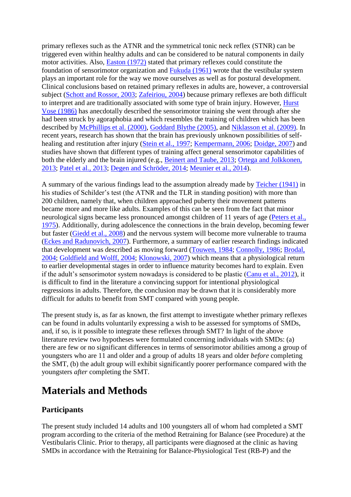primary reflexes such as the ATNR and the symmetrical tonic neck reflex (STNR) can be triggered even within healthy adults and can be considered to be natural components in daily motor activities. Also, [Easton \(1972\)](http://journal.frontiersin.org/article/10.3389/fpsyg.2015.00480/full#B24) stated that primary reflexes could constitute the foundation of sensorimotor organization and [Fukuda \(1961\)](http://journal.frontiersin.org/article/10.3389/fpsyg.2015.00480/full#B30) wrote that the vestibular system plays an important role for the way we move ourselves as well as for postural development. Clinical conclusions based on retained primary reflexes in adults are, however, a controversial subject [\(Schott and Rossor, 2003;](http://journal.frontiersin.org/article/10.3389/fpsyg.2015.00480/full#B76) [Zafeiriou, 2004\)](http://journal.frontiersin.org/article/10.3389/fpsyg.2015.00480/full#B95) because primary reflexes are both difficult to interpret and are traditionally associated with some type of brain injury. However, [Hurst](http://journal.frontiersin.org/article/10.3389/fpsyg.2015.00480/full#B42)  [Vose \(1986\)](http://journal.frontiersin.org/article/10.3389/fpsyg.2015.00480/full#B42) has anecdotally described the sensorimotor training she went through after she had been struck by agoraphobia and which resembles the training of children which has been described by [McPhillips et al. \(2000\),](http://journal.frontiersin.org/article/10.3389/fpsyg.2015.00480/full#B52) [Goddard Blythe \(2005\),](http://journal.frontiersin.org/article/10.3389/fpsyg.2015.00480/full#B35) and [Niklasson et al. \(2009\).](http://journal.frontiersin.org/article/10.3389/fpsyg.2015.00480/full#B60) In recent years, research has shown that the brain has previously unknown possibilities of self-healing and restitution after injury [\(Stein et al., 1997;](http://journal.frontiersin.org/article/10.3389/fpsyg.2015.00480/full#B81) [Kempermann, 2006;](http://journal.frontiersin.org/article/10.3389/fpsyg.2015.00480/full#B47) [Doidge, 2007\)](http://journal.frontiersin.org/article/10.3389/fpsyg.2015.00480/full#B23) and studies have shown that different types of training affect general sensorimotor capabilities of both the elderly and the brain injured (e.g., [Beinert and Taube, 2013;](http://journal.frontiersin.org/article/10.3389/fpsyg.2015.00480/full#B4) [Ortega and Jolkkonen,](http://journal.frontiersin.org/article/10.3389/fpsyg.2015.00480/full#B64)  [2013;](http://journal.frontiersin.org/article/10.3389/fpsyg.2015.00480/full#B64) [Patel et al., 2013;](http://journal.frontiersin.org/article/10.3389/fpsyg.2015.00480/full#B65) [Degen and Schröder, 2014;](http://journal.frontiersin.org/article/10.3389/fpsyg.2015.00480/full#B21) [Meunier et al., 2014\)](http://journal.frontiersin.org/article/10.3389/fpsyg.2015.00480/full#B53).

A summary of the various findings lead to the assumption already made by [Teicher \(1941\)](http://journal.frontiersin.org/article/10.3389/fpsyg.2015.00480/full#B84) in his studies of Schilder's test (the ATNR and the TLR in standing position) with more than 200 children, namely that, when children approached puberty their movement patterns became more and more like adults. Examples of this can be seen from the fact that minor neurological signs became less pronounced amongst children of 11 years of age (Peters et al., [1975\)](http://journal.frontiersin.org/article/10.3389/fpsyg.2015.00480/full#B66). Additionally, during adolescence the connections in the brain develop, becoming fewer but faster [\(Giedd et al., 2008\)](http://journal.frontiersin.org/article/10.3389/fpsyg.2015.00480/full#B33) and the nervous system will become more vulnerable to trauma [\(Eckes and Radunovich, 2007\)](http://journal.frontiersin.org/article/10.3389/fpsyg.2015.00480/full#B25). Furthermore, a summary of earlier research findings indicated that development was described as moving forward [\(Touwen, 1984;](http://journal.frontiersin.org/article/10.3389/fpsyg.2015.00480/full#B86) [Connolly, 1986;](http://journal.frontiersin.org/article/10.3389/fpsyg.2015.00480/full#B19) [Brodal,](http://journal.frontiersin.org/article/10.3389/fpsyg.2015.00480/full#B7)  [2004;](http://journal.frontiersin.org/article/10.3389/fpsyg.2015.00480/full#B7) [Goldfield and Wolff, 2004;](http://journal.frontiersin.org/article/10.3389/fpsyg.2015.00480/full#B37) [Klonowski, 2007\)](http://journal.frontiersin.org/article/10.3389/fpsyg.2015.00480/full#B49) which means that a physiological return to earlier developmental stages in order to influence maturity becomes hard to explain. Even if the adult's sensorimotor system nowadays is considered to be plastic [\(Canu et al., 2012\)](http://journal.frontiersin.org/article/10.3389/fpsyg.2015.00480/full#B13), it is difficult to find in the literature a convincing support for intentional physiological regressions in adults. Therefore, the conclusion may be drawn that it is considerably more difficult for adults to benefit from SMT compared with young people.

The present study is, as far as known, the first attempt to investigate whether primary reflexes can be found in adults voluntarily expressing a wish to be assessed for symptoms of SMDs, and, if so, is it possible to integrate these reflexes through SMT? In light of the above literature review two hypotheses were formulated concerning individuals with SMDs: (a) there are few or no significant differences in terms of sensorimotor abilities among a group of youngsters who are 11 and older and a group of adults 18 years and older *before* completing the SMT, (b) the adult group will exhibit significantly poorer performance compared with the youngsters *after* completing the SMT.

# **Materials and Methods**

# **Participants**

The present study included 14 adults and 100 youngsters all of whom had completed a SMT program according to the criteria of the method Retraining for Balance (see Procedure) at the Vestibularis Clinic. Prior to therapy, all participants were diagnosed at the clinic as having SMDs in accordance with the Retraining for Balance-Physiological Test (RB-P) and the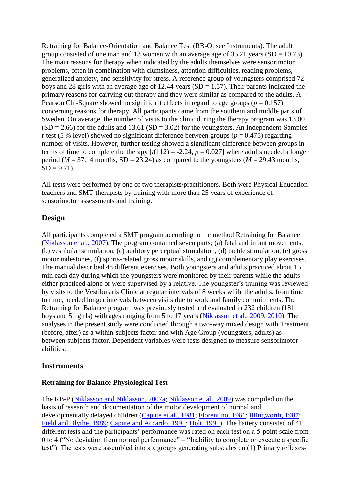Retraining for Balance-Orientation and Balance Test (RB-O; see Instruments). The adult group consisted of one man and 13 women with an average age of  $35.21$  years (SD = 10.73). The main reasons for therapy when indicated by the adults themselves were sensorimotor problems, often in combination with clumsiness, attention difficulties, reading problems, generalized anxiety, and sensitivity for stress. A reference group of youngsters comprised 72 boys and 28 girls with an average age of 12.44 years ( $SD = 1.57$ ). Their parents indicated the primary reasons for carrying out therapy and they were similar as compared to the adults. A Pearson Chi-Square showed no significant effects in regard to age groups ( $p = 0.157$ ) concerning reasons for therapy. All participants came from the southern and middle parts of Sweden. On average, the number of visits to the clinic during the therapy program was 13.00  $(SD = 2.66)$  for the adults and 13.61  $(SD = 3.02)$  for the youngsters. An Independent-Samples *t*-test (5 % level) showed no significant difference between groups ( $p = 0.475$ ) regarding number of visits. However, further testing showed a significant difference between groups in terms of time to complete the therapy  $[t(112) = -2.24, p = 0.027]$  where adults needed a longer period ( $M = 37.14$  months, SD = 23.24) as compared to the youngsters ( $M = 29.43$  months,  $SD = 9.71$ ).

All tests were performed by one of two therapists/practitioners. Both were Physical Education teachers and SMT-therapists by training with more than 25 years of experience of sensorimotor assessments and training.

#### **Design**

All participants completed a SMT program according to the method Retraining for Balance [\(Niklasson et al., 2007\)](http://journal.frontiersin.org/article/10.3389/fpsyg.2015.00480/full#B59). The program contained seven parts; (a) fetal and infant movements, (b) vestibular stimulation, (c) auditory perceptual stimulation, (d) tactile stimulation, (e) gross motor milestones, (f) sports-related gross motor skills, and (g) complementary play exercises. The manual described 48 different exercises. Both youngsters and adults practiced about 15 min each day during which the youngsters were monitored by their parents while the adults either practiced alone or were supervised by a relative. The youngster's training was reviewed by visits to the Vestibularis Clinic at regular intervals of 8 weeks while the adults, from time to time, needed longer intervals between visits due to work and family commitments. The Retraining for Balance program was previously tested and evaluated in 232 children (181 boys and 51 girls) with ages ranging from 5 to 17 years [\(Niklasson et al., 2009,](http://journal.frontiersin.org/article/10.3389/fpsyg.2015.00480/full#B60) [2010\)](http://journal.frontiersin.org/article/10.3389/fpsyg.2015.00480/full#B61). The analyses in the present study were conducted through a two-way mixed design with Treatment (before, after) as a within-subjects factor and with Age Group (youngsters, adults) as between-subjects factor. Dependent variables were tests designed to measure sensorimotor abilities.

### **Instruments**

#### **Retraining for Balance-Physiological Test**

The RB-P [\(Niklasson and Niklasson, 2007a;](http://journal.frontiersin.org/article/10.3389/fpsyg.2015.00480/full#B57) [Niklasson et al., 2009\)](http://journal.frontiersin.org/article/10.3389/fpsyg.2015.00480/full#B60) was compiled on the basis of research and documentation of the motor development of normal and developmentally delayed children [\(Capute et al., 1981;](http://journal.frontiersin.org/article/10.3389/fpsyg.2015.00480/full#B15) [Fiorentino, 1981;](http://journal.frontiersin.org/article/10.3389/fpsyg.2015.00480/full#B28) [Illingworth, 1987;](http://journal.frontiersin.org/article/10.3389/fpsyg.2015.00480/full#B43) [Field and Blythe, 1989;](http://journal.frontiersin.org/article/10.3389/fpsyg.2015.00480/full#B26) [Capute and Accardo, 1991;](http://journal.frontiersin.org/article/10.3389/fpsyg.2015.00480/full#B14) [Holt, 1991\)](http://journal.frontiersin.org/article/10.3389/fpsyg.2015.00480/full#B41). The battery consisted of 41 different tests and the participants' performance was rated on each test on a 5-point scale from 0 to 4 ("No deviation from normal performance" – "Inability to complete or execute a specific test"). The tests were assembled into six groups generating subscales on (1) Primary reflexes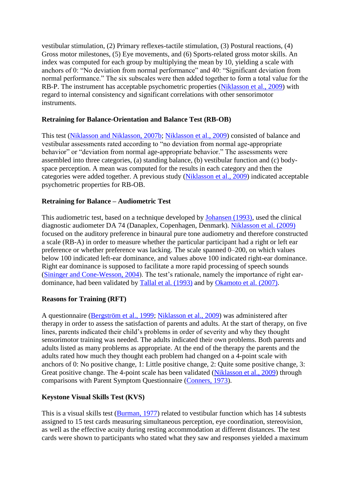vestibular stimulation, (2) Primary reflexes-tactile stimulation, (3) Postural reactions, (4) Gross motor milestones, (5) Eye movements, and (6) Sports-related gross motor skills. An index was computed for each group by multiplying the mean by 10, yielding a scale with anchors of 0: "No deviation from normal performance" and 40: "Significant deviation from normal performance." The six subscales were then added together to form a total value for the RB-P. The instrument has acceptable psychometric properties [\(Niklasson et al., 2009\)](http://journal.frontiersin.org/article/10.3389/fpsyg.2015.00480/full#B60) with regard to internal consistency and significant correlations with other sensorimotor instruments.

#### **Retraining for Balance-Orientation and Balance Test (RB-OB)**

This test [\(Niklasson and Niklasson, 2007b;](http://journal.frontiersin.org/article/10.3389/fpsyg.2015.00480/full#B58) [Niklasson et al., 2009\)](http://journal.frontiersin.org/article/10.3389/fpsyg.2015.00480/full#B60) consisted of balance and vestibular assessments rated according to "no deviation from normal age-appropriate behavior" or "deviation from normal age-appropriate behavior." The assessments were assembled into three categories, (a) standing balance, (b) vestibular function and (c) bodyspace perception. A mean was computed for the results in each category and then the categories were added together. A previous study [\(Niklasson et al., 2009\)](http://journal.frontiersin.org/article/10.3389/fpsyg.2015.00480/full#B60) indicated acceptable psychometric properties for RB-OB.

#### **Retraining for Balance – Audiometric Test**

This audiometric test, based on a technique developed by [Johansen \(1993\),](http://journal.frontiersin.org/article/10.3389/fpsyg.2015.00480/full#B45) used the clinical diagnostic audiometer DA 74 (Danaplex, Copenhagen, Denmark). [Niklasson et al. \(2009\)](http://journal.frontiersin.org/article/10.3389/fpsyg.2015.00480/full#B60) focused on the auditory preference in binaural pure tone audiometry and therefore constructed a scale (RB-A) in order to measure whether the particular participant had a right or left ear preference or whether preference was lacking. The scale spanned 0–200, on which values below 100 indicated left-ear dominance, and values above 100 indicated right-ear dominance. Right ear dominance is supposed to facilitate a more rapid processing of speech sounds [\(Sininger and Cone-Wesson, 2004\)](http://journal.frontiersin.org/article/10.3389/fpsyg.2015.00480/full#B79). The test's rationale, namely the importance of right eardominance, had been validated by [Tallal et al. \(1993\)](http://journal.frontiersin.org/article/10.3389/fpsyg.2015.00480/full#B83) and by [Okamoto et al. \(2007\).](http://journal.frontiersin.org/article/10.3389/fpsyg.2015.00480/full#B63)

#### **Reasons for Training (RFT)**

A questionnaire [\(Bergström et al., 1999;](http://journal.frontiersin.org/article/10.3389/fpsyg.2015.00480/full#B5) [Niklasson et al., 2009\)](http://journal.frontiersin.org/article/10.3389/fpsyg.2015.00480/full#B60) was administered after therapy in order to assess the satisfaction of parents and adults. At the start of therapy, on five lines, parents indicated their child's problems in order of severity and why they thought sensorimotor training was needed. The adults indicated their own problems. Both parents and adults listed as many problems as appropriate. At the end of the therapy the parents and the adults rated how much they thought each problem had changed on a 4-point scale with anchors of 0: No positive change, 1: Little positive change, 2: Quite some positive change, 3: Great positive change. The 4-point scale has been validated [\(Niklasson et al., 2009\)](http://journal.frontiersin.org/article/10.3389/fpsyg.2015.00480/full#B60) through comparisons with Parent Symptom Questionnaire [\(Conners, 1973\)](http://journal.frontiersin.org/article/10.3389/fpsyg.2015.00480/full#B18).

#### **Keystone Visual Skills Test (KVS)**

This is a visual skills test [\(Burman, 1977\)](http://journal.frontiersin.org/article/10.3389/fpsyg.2015.00480/full#B10) related to vestibular function which has 14 subtests assigned to 15 test cards measuring simultaneous perception, eye coordination, stereovision, as well as the effective acuity during resting accommodation at different distances. The test cards were shown to participants who stated what they saw and responses yielded a maximum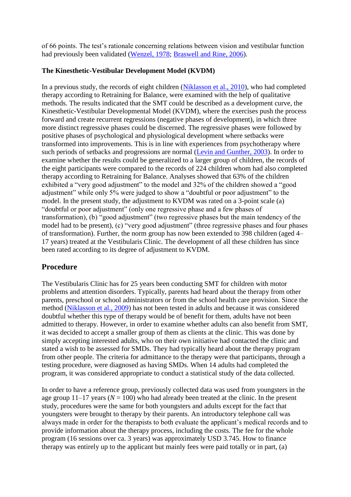of 66 points. The test's rationale concerning relations between vision and vestibular function had previously been validated [\(Wenzel, 1978;](http://journal.frontiersin.org/article/10.3389/fpsyg.2015.00480/full#B94) [Braswell and Rine, 2006\)](http://journal.frontiersin.org/article/10.3389/fpsyg.2015.00480/full#B6).

#### **The Kinesthetic-Vestibular Development Model (KVDM)**

In a previous study, the records of eight children [\(Niklasson et al., 2010\)](http://journal.frontiersin.org/article/10.3389/fpsyg.2015.00480/full#B61), who had completed therapy according to Retraining for Balance, were examined with the help of qualitative methods. The results indicated that the SMT could be described as a development curve, the Kinesthetic-Vestibular Developmental Model (KVDM), where the exercises push the process forward and create recurrent regressions (negative phases of development), in which three more distinct regressive phases could be discerned. The regressive phases were followed by positive phases of psychological and physiological development where setbacks were transformed into improvements. This is in line with experiences from psychotherapy where such periods of setbacks and progressions are normal [\(Levin and Gunther, 2003\)](http://journal.frontiersin.org/article/10.3389/fpsyg.2015.00480/full#B50). In order to examine whether the results could be generalized to a larger group of children, the records of the eight participants were compared to the records of 224 children whom had also completed therapy according to Retraining for Balance. Analyses showed that 63% of the children exhibited a "very good adjustment" to the model and 32% of the children showed a "good adjustment" while only 5% were judged to show a "doubtful or poor adjustment" to the model. In the present study, the adjustment to KVDM was rated on a 3-point scale (a) "doubtful or poor adjustment" (only one regressive phase and a few phases of transformation), (b) "good adjustment" (two regressive phases but the main tendency of the model had to be present), (c) "very good adjustment" (three regressive phases and four phases of transformation). Further, the norm group has now been extended to 398 children (aged 4– 17 years) treated at the Vestibularis Clinic. The development of all these children has since been rated according to its degree of adjustment to KVDM.

# **Procedure**

The Vestibularis Clinic has for 25 years been conducting SMT for children with motor problems and attention disorders. Typically, parents had heard about the therapy from other parents, preschool or school administrators or from the school health care provision. Since the method [\(Niklasson et al., 2009\)](http://journal.frontiersin.org/article/10.3389/fpsyg.2015.00480/full#B60) has not been tested in adults and because it was considered doubtful whether this type of therapy would be of benefit for them, adults have not been admitted to therapy. However, in order to examine whether adults can also benefit from SMT, it was decided to accept a smaller group of them as clients at the clinic. This was done by simply accepting interested adults, who on their own initiative had contacted the clinic and stated a wish to be assessed for SMDs. They had typically heard about the therapy program from other people. The criteria for admittance to the therapy were that participants, through a testing procedure, were diagnosed as having SMDs. When 14 adults had completed the program, it was considered appropriate to conduct a statistical study of the data collected.

In order to have a reference group, previously collected data was used from youngsters in the age group  $11-17$  years ( $N = 100$ ) who had already been treated at the clinic. In the present study, procedures were the same for both youngsters and adults except for the fact that youngsters were brought to therapy by their parents. An introductory telephone call was always made in order for the therapists to both evaluate the applicant's medical records and to provide information about the therapy process, including the costs. The fee for the whole program (16 sessions over ca. 3 years) was approximately USD 3.745. How to finance therapy was entirely up to the applicant but mainly fees were paid totally or in part, (a)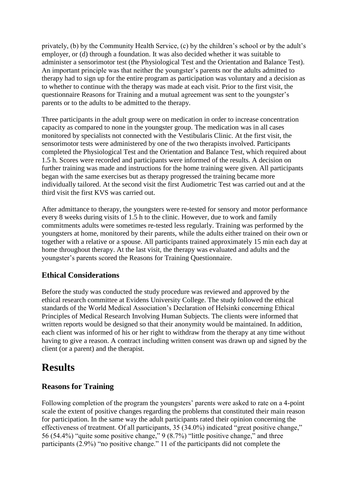privately, (b) by the Community Health Service, (c) by the children's school or by the adult's employer, or (d) through a foundation. It was also decided whether it was suitable to administer a sensorimotor test (the Physiological Test and the Orientation and Balance Test). An important principle was that neither the youngster's parents nor the adults admitted to therapy had to sign up for the entire program as participation was voluntary and a decision as to whether to continue with the therapy was made at each visit. Prior to the first visit, the questionnaire Reasons for Training and a mutual agreement was sent to the youngster's parents or to the adults to be admitted to the therapy.

Three participants in the adult group were on medication in order to increase concentration capacity as compared to none in the youngster group. The medication was in all cases monitored by specialists not connected with the Vestibularis Clinic. At the first visit, the sensorimotor tests were administered by one of the two therapists involved. Participants completed the Physiological Test and the Orientation and Balance Test, which required about 1.5 h. Scores were recorded and participants were informed of the results. A decision on further training was made and instructions for the home training were given. All participants began with the same exercises but as therapy progressed the training became more individually tailored. At the second visit the first Audiometric Test was carried out and at the third visit the first KVS was carried out.

After admittance to therapy, the youngsters were re-tested for sensory and motor performance every 8 weeks during visits of 1.5 h to the clinic. However, due to work and family commitments adults were sometimes re-tested less regularly. Training was performed by the youngsters at home, monitored by their parents, while the adults either trained on their own or together with a relative or a spouse. All participants trained approximately 15 min each day at home throughout therapy. At the last visit, the therapy was evaluated and adults and the youngster's parents scored the Reasons for Training Questionnaire.

### **Ethical Considerations**

Before the study was conducted the study procedure was reviewed and approved by the ethical research committee at Evidens University College. The study followed the ethical standards of the World Medical Association's Declaration of Helsinki concerning Ethical Principles of Medical Research Involving Human Subjects. The clients were informed that written reports would be designed so that their anonymity would be maintained. In addition, each client was informed of his or her right to withdraw from the therapy at any time without having to give a reason. A contract including written consent was drawn up and signed by the client (or a parent) and the therapist.

# **Results**

# **Reasons for Training**

Following completion of the program the youngsters' parents were asked to rate on a 4-point scale the extent of positive changes regarding the problems that constituted their main reason for participation. In the same way the adult participants rated their opinion concerning the effectiveness of treatment. Of all participants, 35 (34.0%) indicated "great positive change," 56 (54.4%) "quite some positive change," 9 (8.7%) "little positive change," and three participants (2.9%) "no positive change." 11 of the participants did not complete the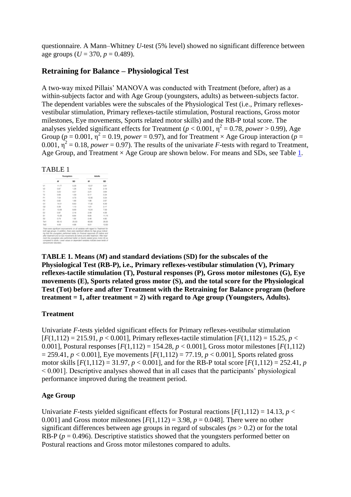questionnaire. A Mann–Whitney *U*-test (5% level) showed no significant difference between age groups ( $U = 370$ ,  $p = 0.489$ ).

### **Retraining for Balance – Physiological Test**

A two-way mixed Pillais' MANOVA was conducted with Treatment (before, after) as a within-subjects factor and with Age Group (youngsters, adults) as between-subjects factor. The dependent variables were the subscales of the Physiological Test (i.e., Primary reflexesvestibular stimulation, Primary reflexes-tactile stimulation, Postural reactions, Gross motor milestones, Eye movements, Sports related motor skills) and the RB-P total score. The analyses yielded significant effects for Treatment ( $p < 0.001$ ,  $\eta^2 = 0.78$ , *power* > 0.99), Age Group ( $p = 0.001$ ,  $\overline{p}^2 = 0.19$ , *power* = 0.97), and for Treatment × Age Group interaction ( $p =$  $0.001$ ,  $\eta^2 = 0.18$ , *power* = 0.97). The results of the univariate *F*-tests with regard to Treatment, Age Group, and Treatment  $\times$  Age Group are shown below. For means and SDs, see Table [1.](http://journal.frontiersin.org/article/10.3389/fpsyg.2015.00480/full#T1)

#### TABLE 1

|                  | <b>Visuougabara</b> |         | Adults                   |       |
|------------------|---------------------|---------|--------------------------|-------|
|                  | $\overline{a}$      | 160     | $\overline{\phantom{a}}$ | $50-$ |
| V1               | 19.77               | 5.28    | 12:07                    | 5.81  |
| Vill             | 0.87                | 1.28    | 1.38                     | 2.78  |
| TI               | 3.20                | 4.07    | 2.2%                     | 3.64  |
| T2               | <b>O.RO</b>         | 1.50    | 6.17                     | 0.34  |
| 51               | P.DA                | 4.79    | 12:06                    | 5.54  |
| $\mathbb{P}^n_2$ | 0.R2                | 1.66    | 1.08                     | 2.67  |
|                  | 14.05               | 6.63    | 17.32                    | 6.30  |
| $\frac{a}{a}$    | 0.38                | 1.13.   | 1.01                     | 2.17  |
| E1               | 13.09               | 6.69    | 10:24                    | 7.59  |
| $\Box$           | 0.97                | 2.16    | 2.49                     | 4.36  |
| $\frac{1}{2}$    | 10.30               | (6, 3)4 | 6.00                     | 11,74 |
| $\overline{u}$   | 0.79                | 1.00    | 2.48                     | 4.90  |
| Tort             | 60.10               | 35.53   | 60.80                    | 28.35 |
| $T_0$            | 4.49                | 4.06    | 福成市                      | 12.63 |

**TABLE 1. Means (***M***) and standard deviations (SD) for the subscales of the Physiological Test (RB-P), i.e., Primary reflexes-vestibular stimulation (V), Primary reflexes-tactile stimulation (T), Postural responses (P), Gross motor milestones (G), Eye movements (E), Sports related gross motor (S), and the total score for the Physiological Test (Tot) before and after Treatment with the Retraining for Balance program (before treatment = 1, after treatment = 2) with regard to Age group (Youngsters, Adults).**

#### **Treatment**

Univariate *F*-tests yielded significant effects for Primary reflexes-vestibular stimulation  $[F(1,112) = 215.91, p < 0.001]$ , Primary reflexes-tactile stimulation  $[F(1,112) = 15.25, p <$ 0.001], Postural responses  $[F(1,112) = 154.28, p < 0.001]$ , Gross motor milestones  $[F(1,112)$  $= 259.41, p < 0.001$ . Eve movements  $[F(1.112) = 77.19, p < 0.001$ . Sports related gross motor skills  $[F(1,112) = 31.97, p < 0.001]$ , and for the RB-P total score  $[F(1,112) = 252.41, p$ < 0.001]. Descriptive analyses showed that in all cases that the participants' physiological performance improved during the treatment period.

#### **Age Group**

Univariate *F*-tests yielded significant effects for Postural reactions  $[F(1,112) = 14.13, p <$ 0.001] and Gross motor milestones  $[F(1,112) = 3.98, p = 0.048]$ . There were no other significant differences between age groups in regard of subscales (*ps* > 0.2) or for the total RB-P ( $p = 0.496$ ). Descriptive statistics showed that the youngsters performed better on Postural reactions and Gross motor milestones compared to adults.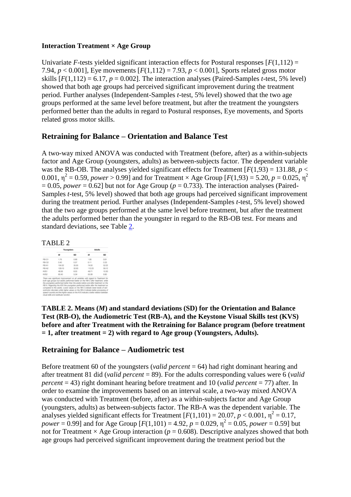#### **Interaction Treatment × Age Group**

Univariate *F*-tests yielded significant interaction effects for Postural responses  $[F(1,112) =$ 7.94,  $p < 0.001$ ], Eye movements  $[F(1,112) = 7.93, p < 0.001]$ , Sports related gross motor skills  $[F(1,112) = 6.17, p = 0.002]$ . The interaction analyses (Paired-Samples *t*-test, 5% level) showed that both age groups had perceived significant improvement during the treatment period. Further analyses (Independent-Samples *t*-test, 5% level) showed that the two age groups performed at the same level before treatment, but after the treatment the youngsters performed better than the adults in regard to Postural responses, Eye movements, and Sports related gross motor skills.

### **Retraining for Balance – Orientation and Balance Test**

A two-way mixed ANOVA was conducted with Treatment (before, after) as a within-subjects factor and Age Group (youngsters, adults) as between-subjects factor. The dependent variable was the RB-OB. The analyses yielded significant effects for Treatment  $[F(1,93) = 131.88, p <$ 0.001,  $\eta^2 = 0.59$ , *power* > 0.99] and for Treatment × Age Group [ $F(1,93) = 5.20$ ,  $p = 0.025$ ,  $\eta^2$  $= 0.05$ , *power*  $= 0.62$ ] but not for Age Group ( $p = 0.733$ ). The interaction analyses (Paired-Samples *t*-test, 5% level) showed that both age groups had perceived significant improvement during the treatment period. Further analyses (Independent-Samples *t*-test, 5% level) showed that the two age groups performed at the same level before treatment, but after the treatment the adults performed better than the youngster in regard to the RB-OB test. For means and standard deviations, see Table [2.](http://journal.frontiersin.org/article/10.3389/fpsyg.2015.00480/full#T2)

#### TABLE 2



**TABLE 2. Means (***M***) and standard deviations (SD) for the Orientation and Balance Test (RB-O), the Audiometric Test (RB-A), and the Keystone Visual Skills test (KVS) before and after Treatment with the Retraining for Balance program (before treatment = 1, after treatment = 2) with regard to Age group (Youngsters, Adults).**

### **Retraining for Balance – Audiometric test**

Before treatment 60 of the youngsters (*valid percent* = 64) had right dominant hearing and after treatment 81 did (*valid percent* = 89). For the adults corresponding values were 6 (*valid percent* = 43) right dominant hearing before treatment and 10 (*valid percent* = 77) after. In order to examine the improvements based on an interval scale, a two-way mixed ANOVA was conducted with Treatment (before, after) as a within-subjects factor and Age Group (youngsters, adults) as between-subjects factor. The RB-A was the dependent variable. The analyses yielded significant effects for Treatment  $[F(1,101) = 20.07, p < 0.001, \eta^2 = 0.17,$ *power* = 0.99] and for Age Group  $[F(1,101) = 4.92, p = 0.029, \eta^2 = 0.05, power = 0.59]$  but not for Treatment  $\times$  Age Group interaction ( $p = 0.608$ ). Descriptive analyzes showed that both age groups had perceived significant improvement during the treatment period but the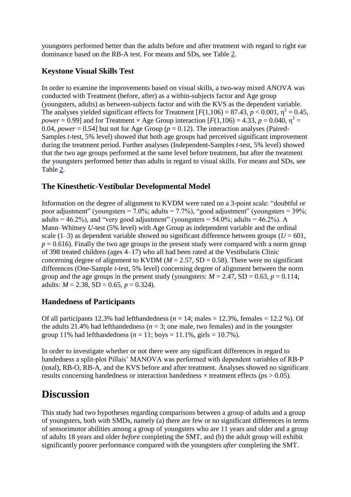youngsters performed better than the adults before and after treatment with regard to right ear dominance based on the RB-A test. For means and SDs, see Table [2.](http://journal.frontiersin.org/article/10.3389/fpsyg.2015.00480/full#T2)

# **Keystone Visual Skills Test**

In order to examine the improvements based on visual skills, a two-way mixed ANOVA was conducted with Treatment (before, after) as a within-subjects factor and Age group (youngsters, adults) as between-subjects factor and with the KVS as the dependent variable. The analyses yielded significant effects for Treatment  $[F(1,106) = 87.43, p < 0.001, \eta^2 = 0.45,$ *power* = 0.99] and for Treatment  $\times$  Age Group interaction [ $F(1,106) = 4.33$ ,  $p = 0.040$ ,  $\eta^2 =$ 0.04, *power* = 0.54] but not for Age Group ( $p = 0.12$ ). The interaction analyses (Paired-Samples *t*-test, 5% level) showed that both age groups had perceived significant improvement during the treatment period. Further analyses (Independent-Samples *t*-test, 5% level) showed that the two age groups performed at the same level before treatment, but after the treatment the youngsters performed better than adults in regard to visual skills. For means and SDs, see Table [2.](http://journal.frontiersin.org/article/10.3389/fpsyg.2015.00480/full#T2)

# **The Kinesthetic-Vestibular Developmental Model**

Information on the degree of alignment to KVDM were rated on a 3-point scale: "doubtful or poor adjustment" (youngsters = 7.0%; adults = 7.7%), "good adjustment" (youngsters =  $39\%$ ; adults =  $46.2\%$ ), and "very good adjustment" (youngsters =  $54.0\%$ ; adults =  $46.2\%$ ). A Mann–Whitney *U*-test (5% level) with Age Group as independent variable and the ordinal scale (1–3) as dependent variable showed no significant difference between groups ( $U = 601$ ,  $p = 0.616$ ). Finally the two age groups in the present study were compared with a norm group of 398 treated children (ages 4–17) who all had been rated at the Vestibularis Clinic concerning degree of alignment to KVDM ( $M = 2.57$ , SD = 0.58). There were no significant differences (One-Sample *t*-test, 5% level) concerning degree of alignment between the norm group and the age groups in the present study (youngsters:  $M = 2.47$ , SD = 0.63,  $p = 0.114$ ; adults:  $M = 2.38$ , SD = 0.65,  $p = 0.324$ ).

# **Handedness of Participants**

Of all participants 12.3% had lefthandedness  $(n = 14;$  males  $= 12.3$ %, females  $= 12.2$  %). Of the adults 21.4% had lefthandedness ( $n = 3$ ; one male, two females) and in the youngster group 11% had lefthandedness ( $n = 11$ ; boys = 11.1%, girls = 10.7%).

In order to investigate whether or not there were any significant differences in regard to handedness a split-plot Pillais' MANOVA was performed with dependent variables of RB-P (total), RB-O, RB-A, and the KVS before and after treatment. Analyses showed no significant results concerning handedness or interaction handedness × treatment effects (*ps* > 0.05).

# **Discussion**

This study had two hypotheses regarding comparisons between a group of adults and a group of youngsters, both with SMDs, namely (a) there are few or no significant differences in terms of sensorimotor abilities among a group of youngsters who are 11 years and older and a group of adults 18 years and older *before* completing the SMT, and (b) the adult group will exhibit significantly poorer performance compared with the youngsters *after* completing the SMT.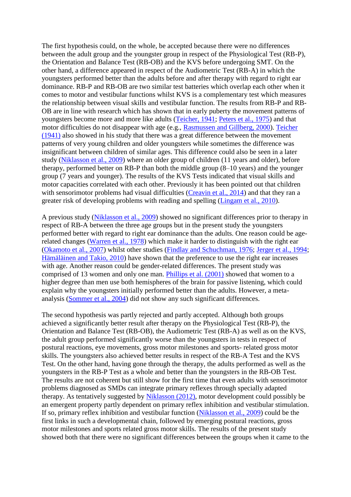The first hypothesis could, on the whole, be accepted because there were no differences between the adult group and the youngster group in respect of the Physiological Test (RB-P), the Orientation and Balance Test (RB-OB) and the KVS before undergoing SMT. On the other hand, a difference appeared in respect of the Audiometric Test (RB-A) in which the youngsters performed better than the adults before and after therapy with regard to right ear dominance. RB-P and RB-OB are two similar test batteries which overlap each other when it comes to motor and vestibular functions whilst KVS is a complementary test which measures the relationship between visual skills and vestibular function. The results from RB-P and RB-OB are in line with research which has shown that in early puberty the movement patterns of youngsters become more and more like adults [\(Teicher, 1941;](http://journal.frontiersin.org/article/10.3389/fpsyg.2015.00480/full#B84) [Peters et al., 1975\)](http://journal.frontiersin.org/article/10.3389/fpsyg.2015.00480/full#B66) and that motor difficulties do not disappear with age (e.g., [Rasmussen and Gillberg, 2000\)](http://journal.frontiersin.org/article/10.3389/fpsyg.2015.00480/full#B72). [Teicher](http://journal.frontiersin.org/article/10.3389/fpsyg.2015.00480/full#B84)  [\(1941\)](http://journal.frontiersin.org/article/10.3389/fpsyg.2015.00480/full#B84) also showed in his study that there was a great difference between the movement patterns of very young children and older youngsters while sometimes the difference was insignificant between children of similar ages. This difference could also be seen in a later study [\(Niklasson et al., 2009\)](http://journal.frontiersin.org/article/10.3389/fpsyg.2015.00480/full#B60) where an older group of children (11 years and older), before therapy, performed better on RB-P than both the middle group (8–10 years) and the younger group (7 years and younger). The results of the KVS Tests indicated that visual skills and motor capacities correlated with each other. Previously it has been pointed out that children with sensorimotor problems had visual difficulties [\(Creavin et al., 2014\)](http://journal.frontiersin.org/article/10.3389/fpsyg.2015.00480/full#B20) and that they ran a greater risk of developing problems with reading and spelling [\(Lingam et al., 2010\)](http://journal.frontiersin.org/article/10.3389/fpsyg.2015.00480/full#B51).

A previous study [\(Niklasson et al., 2009\)](http://journal.frontiersin.org/article/10.3389/fpsyg.2015.00480/full#B60) showed no significant differences prior to therapy in respect of RB-A between the three age groups but in the present study the youngsters performed better with regard to right ear dominance than the adults. One reason could be agerelated changes [\(Warren et al., 1978\)](http://journal.frontiersin.org/article/10.3389/fpsyg.2015.00480/full#B92) which make it harder to distinguish with the right ear [\(Okamoto et al., 2007\)](http://journal.frontiersin.org/article/10.3389/fpsyg.2015.00480/full#B63) whilst other studies [\(Findlay and Schuchman, 1976;](http://journal.frontiersin.org/article/10.3389/fpsyg.2015.00480/full#B27) [Jerger et al., 1994;](http://journal.frontiersin.org/article/10.3389/fpsyg.2015.00480/full#B44) [Hämäläinen and Takio, 2010\)](http://journal.frontiersin.org/article/10.3389/fpsyg.2015.00480/full#B38) have shown that the preference to use the right ear increases with age. Another reason could be gender-related differences. The present study was comprised of 13 women and only one man. [Phillips et al. \(2001\)](http://journal.frontiersin.org/article/10.3389/fpsyg.2015.00480/full#B67) showed that women to a higher degree than men use both hemispheres of the brain for passive listening, which could explain why the youngsters initially performed better than the adults. However, a metaanalysis [\(Sommer et al., 2004\)](http://journal.frontiersin.org/article/10.3389/fpsyg.2015.00480/full#B80) did not show any such significant differences.

The second hypothesis was partly rejected and partly accepted. Although both groups achieved a significantly better result after therapy on the Physiological Test (RB-P), the Orientation and Balance Test (RB-OB), the Audiometric Test (RB-A) as well as on the KVS, the adult group performed significantly worse than the youngsters in tests in respect of postural reactions, eye movements, gross motor milestones and sports- related gross motor skills. The youngsters also achieved better results in respect of the RB-A Test and the KVS Test. On the other hand, having gone through the therapy, the adults performed as well as the youngsters in the RB-P Test as a whole and better than the youngsters in the RB-OB Test. The results are not coherent but still show for the first time that even adults with sensorimotor problems diagnosed as SMDs can integrate primary reflexes through specially adapted therapy. As tentatively suggested by [Niklasson \(2012\),](http://journal.frontiersin.org/article/10.3389/fpsyg.2015.00480/full#B55) motor development could possibly be an emergent property partly dependent on primary reflex inhibition and vestibular stimulation. If so, primary reflex inhibition and vestibular function [\(Niklasson et al., 2009\)](http://journal.frontiersin.org/article/10.3389/fpsyg.2015.00480/full#B60) could be the first links in such a developmental chain, followed by emerging postural reactions, gross motor milestones and sports related gross motor skills. The results of the present study showed both that there were no significant differences between the groups when it came to the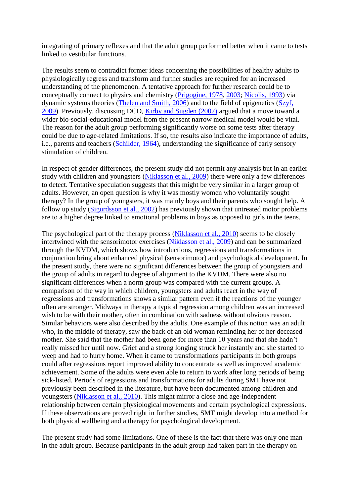integrating of primary reflexes and that the adult group performed better when it came to tests linked to vestibular functions.

The results seem to contradict former ideas concerning the possibilities of healthy adults to physiologically regress and transform and further studies are required for an increased understanding of the phenomenon. A tentative approach for further research could be to conceptually connect to physics and chemistry [\(Prigogine, 1978,](http://journal.frontiersin.org/article/10.3389/fpsyg.2015.00480/full#B70) [2003;](http://journal.frontiersin.org/article/10.3389/fpsyg.2015.00480/full#B71) [Nicolis, 1993\)](http://journal.frontiersin.org/article/10.3389/fpsyg.2015.00480/full#B54) via dynamic systems theories [\(Thelen and Smith, 2006\)](http://journal.frontiersin.org/article/10.3389/fpsyg.2015.00480/full#B85) and to the field of epigenetics [\(Szyf,](http://journal.frontiersin.org/article/10.3389/fpsyg.2015.00480/full#B82)  [2009\)](http://journal.frontiersin.org/article/10.3389/fpsyg.2015.00480/full#B82). Previously, discussing DCD, [Kirby and Sugden \(2007\)](http://journal.frontiersin.org/article/10.3389/fpsyg.2015.00480/full#B48) argued that a move toward a wider bio-social-educational model from the present narrow medical model would be vital. The reason for the adult group performing significantly worse on some tests after therapy could be due to age-related limitations. If so, the results also indicate the importance of adults, i.e., parents and teachers [\(Schilder, 1964\)](http://journal.frontiersin.org/article/10.3389/fpsyg.2015.00480/full#B75), understanding the significance of early sensory stimulation of children.

In respect of gender differences, the present study did not permit any analysis but in an earlier study with children and youngsters [\(Niklasson et al., 2009\)](http://journal.frontiersin.org/article/10.3389/fpsyg.2015.00480/full#B60) there were only a few differences to detect. Tentative speculation suggests that this might be very similar in a larger group of adults. However, an open question is why it was mostly women who voluntarily sought therapy? In the group of youngsters, it was mainly boys and their parents who sought help. A follow up study [\(Sigurdsson et al., 2002\)](http://journal.frontiersin.org/article/10.3389/fpsyg.2015.00480/full#B78) has previously shown that untreated motor problems are to a higher degree linked to emotional problems in boys as opposed to girls in the teens.

The psychological part of the therapy process [\(Niklasson et al., 2010\)](http://journal.frontiersin.org/article/10.3389/fpsyg.2015.00480/full#B61) seems to be closely intertwined with the sensorimotor exercises [\(Niklasson et al., 2009\)](http://journal.frontiersin.org/article/10.3389/fpsyg.2015.00480/full#B60) and can be summarized through the KVDM, which shows how introductions, regressions and transformations in conjunction bring about enhanced physical (sensorimotor) and psychological development. In the present study, there were no significant differences between the group of youngsters and the group of adults in regard to degree of alignment to the KVDM. There were also no significant differences when a norm group was compared with the current groups. A comparison of the way in which children, youngsters and adults react in the way of regressions and transformations shows a similar pattern even if the reactions of the younger often are stronger. Midways in therapy a typical regression among children was an increased wish to be with their mother, often in combination with sadness without obvious reason. Similar behaviors were also described by the adults. One example of this notion was an adult who, in the middle of therapy, saw the back of an old woman reminding her of her deceased mother. She said that the mother had been gone for more than 10 years and that she hadn't really missed her until now. Grief and a strong longing struck her instantly and she started to weep and had to hurry home. When it came to transformations participants in both groups could after regressions report improved ability to concentrate as well as improved academic achievement. Some of the adults were even able to return to work after long periods of being sick-listed. Periods of regressions and transformations for adults during SMT have not previously been described in the literature, but have been documented among children and youngsters [\(Niklasson et al., 2010\)](http://journal.frontiersin.org/article/10.3389/fpsyg.2015.00480/full#B61). This might mirror a close and age-independent relationship between certain physiological movements and certain psychological expressions. If these observations are proved right in further studies, SMT might develop into a method for both physical wellbeing and a therapy for psychological development.

The present study had some limitations. One of these is the fact that there was only one man in the adult group. Because participants in the adult group had taken part in the therapy on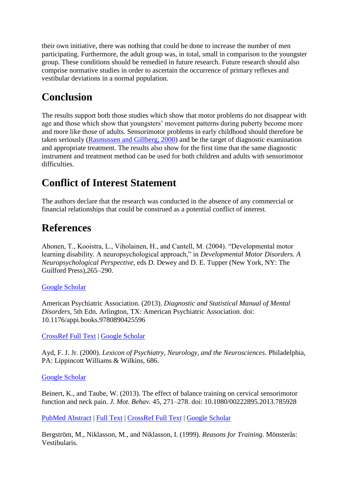their own initiative, there was nothing that could be done to increase the number of men participating. Furthermore, the adult group was, in total, small in comparison to the youngster group. These conditions should be remedied in future research. Future research should also comprise normative studies in order to ascertain the occurrence of primary reflexes and vestibular deviations in a normal population.

# **Conclusion**

The results support both those studies which show that motor problems do not disappear with age and those which show that youngsters' movement patterns during puberty become more and more like those of adults. Sensorimotor problems in early childhood should therefore be taken seriously [\(Rasmussen and Gillberg, 2000\)](http://journal.frontiersin.org/article/10.3389/fpsyg.2015.00480/full#B72) and be the target of diagnostic examination and appropriate treatment. The results also show for the first time that the same diagnostic instrument and treatment method can be used for both children and adults with sensorimotor difficulties.

# **Conflict of Interest Statement**

The authors declare that the research was conducted in the absence of any commercial or financial relationships that could be construed as a potential conflict of interest.

# **References**

Ahonen, T., Kooistra, L., Viholainen, H., and Cantell, M. (2004). "Developmental motor learning disability. A neuropsychological approach," in *Developmental Motor Disorders. A Neuropsychological Perspective*, eds D. Dewey and D. E. Tupper (New York, NY: The Guilford Press),265–290.

### [Google Scholar](http://scholar.google.com/scholar_lookup?&title=%22Developmental+motor+learning+disability%2E++A+neuropsychological+approach%2C%22+in&journal=Developmental+Motor+Disorders%2E+A+Neuropsychological+Perspective&author=Ahonen+T.&author=Kooistra+L.&author=Viholainen+H.&author=and+Cantell+M.&publication_year=2004&pages=265-290)

American Psychiatric Association. (2013). *Diagnostic and Statistical Manual of Mental Disorders*, 5th Edn. Arlington, TX: American Psychiatric Association. doi: 10.1176/appi.books.9780890425596

[CrossRef Full Text](http://dx.doi.org/10.1176/appi.books.9780890425596) | [Google Scholar](http://scholar.google.com/scholar_lookup?&title=Diagnostic+and+Statistical+Manual+of+Mental+Disorders&publication_year=2013)

Ayd, F. J. Jr. (2000). *Lexicon of Psychiatry, Neurology, and the Neurosciences*. Philadelphia, PA: Lippincott Williams & Wilkins, 686.

### [Google Scholar](http://scholar.google.com/scholar_lookup?&title=Lexicon+of+Psychiatry%2C+Neurology%2C+and+the+Neurosciences%2E&author=Ayd+F.++J.++Jr.&publication_year=2000)

Beinert, K., and Taube, W. (2013). The effect of balance training on cervical sensorimotor function and neck pain. *J. Mot. Behav.* 45, 271–278. doi: 10.1080/00222895.2013.785928

[PubMed Abstract](http://www.ncbi.nlm.nih.gov/sites/entrez?Db=pubmed&Cmd=ShowDetailView&TermToSearch=23663191) | [Full Text](http://eutils.ncbi.nlm.nih.gov/entrez/eutils/elink.fcgi?db=pubmed&cmd=prlinks&retmode=ref&id=23663191) | [CrossRef Full Text](http://dx.doi.org/10.1080/00222895.2013.785928) | [Google Scholar](http://scholar.google.com/scholar_lookup?&title=The+effect+of+balance+training+on+cervical+sensorimotor+function+and+neck+pain%2E&journal=J%2E+Mot%2E+Behav%2E&author=Beinert+K.&author=and+Taube+W.&publication_year=2013&volume=45&pages=271-278)

Bergström, M., Niklasson, M., and Niklasson, I. (1999). *Reasons for Training*. Mönsterås: Vestibularis.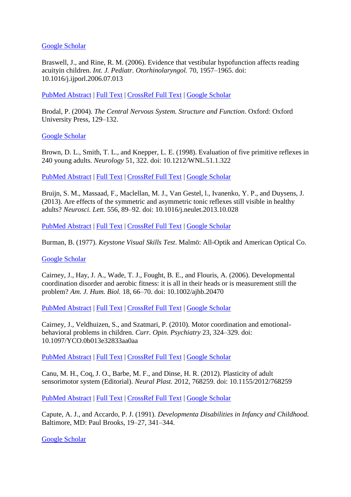#### [Google Scholar](http://scholar.google.com/scholar_lookup?&title=Reasons+for+Training%2E&author=Bergstr%C3%B6m+M.&author=Niklasson+M.&author=and+Niklasson+I.&publication_year=1999)

Braswell, J., and Rine, R. M. (2006). Evidence that vestibular hypofunction affects reading acuityin children. *Int. J. Pediatr. Otorhinolaryngol.* 70, 1957–1965. doi: 10.1016/j.ijporl.2006.07.013

[PubMed Abstract](http://www.ncbi.nlm.nih.gov/sites/entrez?Db=pubmed&Cmd=ShowDetailView&TermToSearch=16945429) | [Full Text](http://eutils.ncbi.nlm.nih.gov/entrez/eutils/elink.fcgi?db=pubmed&cmd=prlinks&retmode=ref&id=16945429) | [CrossRef Full Text](http://dx.doi.org/10.1016/j.ijporl.2006.07.013) | [Google Scholar](http://scholar.google.com/scholar_lookup?&title=Evidence+that+vestibular+hypofunction+affects+reading+acuityin+children%2E&journal=Int%2E++J%2E++Pediatr%2E++Otorhinolaryngol%2E&author=Braswell+J.&author=and+Rine+R.+M.&publication_year=2006&volume=70&pages=1957-1965)

Brodal, P. (2004). *The Central Nervous System. Structure and Function*. Oxford: Oxford University Press, 129–132.

[Google Scholar](http://scholar.google.com/scholar_lookup?&title=The+Central+Nervous+System%2E+Structure+and+Function%2E&author=Brodal+P.&publication_year=2004&pages=129-132)

Brown, D. L., Smith, T. L., and Knepper, L. E. (1998). Evaluation of five primitive reflexes in 240 young adults. *Neurology* 51, 322. doi: 10.1212/WNL.51.1.322

[PubMed Abstract](http://www.ncbi.nlm.nih.gov/sites/entrez?Db=pubmed&Cmd=ShowDetailView&TermToSearch=9674840) | [Full Text](http://eutils.ncbi.nlm.nih.gov/entrez/eutils/elink.fcgi?db=pubmed&cmd=prlinks&retmode=ref&id=9674840) | [CrossRef Full Text](http://dx.doi.org/10.1212/WNL.51.1.322) | [Google Scholar](http://scholar.google.com/scholar_lookup?&title=Evaluation+of+five+primitive+reflexes+in+240+young+adults%2E&journal=Neurology&author=Brown+D.++L.&author=Smith+T.++L.&author=and+Knepper+L.++E.&publication_year=1998&volume=51&issue=322)

Bruijn, S. M., Massaad, F., Maclellan, M. J., Van Gestel, l., Ivanenko, Y. P., and Duysens, J. (2013). Are effects of the symmetric and asymmetric tonic reflexes still visible in healthy adults? *Neurosci. Lett.* 556, 89–92. doi: 10.1016/j.neulet.2013.10.028

[PubMed Abstract](http://www.ncbi.nlm.nih.gov/sites/entrez?Db=pubmed&Cmd=ShowDetailView&TermToSearch=24157848) | [Full Text](http://eutils.ncbi.nlm.nih.gov/entrez/eutils/elink.fcgi?db=pubmed&cmd=prlinks&retmode=ref&id=24157848) | [CrossRef Full Text](http://dx.doi.org/10.1016/j.neulet.2013.10.028) | [Google Scholar](http://scholar.google.com/scholar_lookup?&title=Are+effects+of+the+symmetric+and+asymmetric+tonic+reflexes+still+visible+in+healthy+adults%B4&journal=Neurosci%2E+Lett%2E&author=Bruijn+S.+M.&author=Massaad+F.&author=Maclellan+M.+J.&author=Van+Gestel+l.&author=Ivanenko+Y.++P.&author=and+Duysens+J.&publication_year=2013&volume=556&pages=89-92)

Burman, B. (1977). *Keystone Visual Skills Test*. Malmö: All-Optik and American Optical Co.

#### [Google Scholar](http://scholar.google.com/scholar_lookup?&title=Keystone+Visual+Skills+Test%2E&author=Burman+B.&publication_year=1977)

Cairney, J., Hay, J. A., Wade, T. J., Fought, B. E., and Flouris, A. (2006). Developmental coordination disorder and aerobic fitness: it is all in their heads or is measurement still the problem? *Am. J. Hum. Biol.* 18, 66–70. doi: 10.1002/ajhb.20470

[PubMed Abstract](http://www.ncbi.nlm.nih.gov/sites/entrez?Db=pubmed&Cmd=ShowDetailView&TermToSearch=16378337) | [Full Text](http://eutils.ncbi.nlm.nih.gov/entrez/eutils/elink.fcgi?db=pubmed&cmd=prlinks&retmode=ref&id=16378337) | [CrossRef Full Text](http://dx.doi.org/10.1002/ajhb.20470) | [Google Scholar](http://scholar.google.com/scholar_lookup?&title=Developmental+coordination+disorder+and+aerobic+fitness%3A+it+is+all+in+their+heads+or+is+measurement+still+the+problem%B4&journal=Am%2E+J%2E+Hum%2E+Biol%2E&author=Cairney+J.&author=Hay+J.+A.&author=Wade+T.+J.&author=Fought+B.+E.&author=and+Flouris+A.&publication_year=2006&volume=18&pages=66-70)

Cairney, J., Veldhuizen, S., and Szatmari, P. (2010). Motor coordination and emotionalbehavioral problems in children. *Curr. Opin. Psychiatry* 23, 324–329. doi: 10.1097/YCO.0b013e32833aa0aa

[PubMed Abstract](http://www.ncbi.nlm.nih.gov/sites/entrez?Db=pubmed&Cmd=ShowDetailView&TermToSearch=20520549) | [Full Text](http://eutils.ncbi.nlm.nih.gov/entrez/eutils/elink.fcgi?db=pubmed&cmd=prlinks&retmode=ref&id=20520549) | [CrossRef Full Text](http://dx.doi.org/10.1097/YCO.0b013e32833aa0aa) | [Google Scholar](http://scholar.google.com/scholar_lookup?&title=Motor+coordination+and+emotional-behavioral+problems+in+children%2E&journal=Curr%2E+Opin%2E+Psychiatry&author=Cairney+J.&author=Veldhuizen+S.&author=and+Szatmari+P.&publication_year=2010&volume=23&pages=324-329)

Canu, M. H., Coq, J. O., Barbe, M. F., and Dinse, H. R. (2012). Plasticity of adult sensorimotor system (Editorial). *Neural Plast.* 2012, 768259. doi: 10.1155/2012/768259

[PubMed Abstract](http://www.ncbi.nlm.nih.gov/sites/entrez?Db=pubmed&Cmd=ShowDetailView&TermToSearch=23320196) | [Full Text](http://eutils.ncbi.nlm.nih.gov/entrez/eutils/elink.fcgi?db=pubmed&cmd=prlinks&retmode=ref&id=23320196) | [CrossRef Full Text](http://dx.doi.org/10.1155/2012/768259) | [Google Scholar](http://scholar.google.com/scholar_lookup?&title=Plasticity+of+adult+sensorimotor+system+%28Editorial%29%2E&journal=Neural+Plast%2E&author=Canu+M.+H.&author=Coq+J.+O.&author=Barbe+M.+F.&author=and+Dinse+H.+R.&publication_year=2012&volume=2012&issue=768259)

Capute, A. J., and Accardo, P. J. (1991). *Developmenta Disabilities in Infancy and Childhood.* Baltimore, MD: Paul Brooks, 19–27, 341–344.

[Google Scholar](http://scholar.google.com/scholar_lookup?&title=Developmenta+Disabilities+in+Infancy+and+Childhood%2E&author=Capute+A.++J.&author=and+Accardo+P.++J.&publication_year=1991&pages=19-27)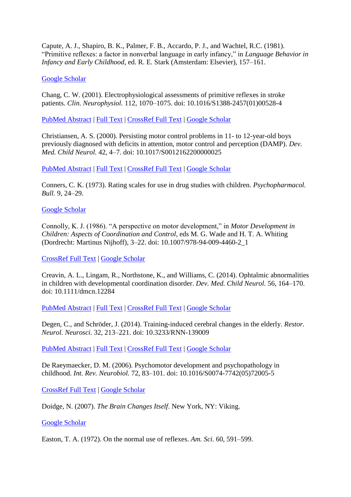Capute, A. J., Shapiro, B. K., Palmer, F. B., Accardo, P. J., and Wachtel, R.C. (1981). "Primitive reflexes: a factor in nonverbal language in early infancy," in *Language Behavior in Infancy and Early Childhood*, ed. R. E. Stark (Amsterdam: Elsevier), 157–161.

#### [Google Scholar](http://scholar.google.com/scholar_lookup?&title=%22Primitive+reflexes%3A+a+factor+in+nonverbal+language+in+early+infancy%2C%22+in&journal=Language+Behavior+in+Infancy+and+Early+Childhood&author=Capute+A.+J.&author=Shapiro+B.+K.&author=Palmer+F.+B.&author=Accardo+P.+J.&author=and+Wachtel+R.C.&publication_year=1981&pages=157-161)

Chang, C. W. (2001). Electrophysiological assessments of primitive reflexes in stroke patients. *Clin. Neurophysiol.* 112, 1070–1075. doi: 10.1016/S1388-2457(01)00528-4

[PubMed Abstract](http://www.ncbi.nlm.nih.gov/sites/entrez?Db=pubmed&Cmd=ShowDetailView&TermToSearch=11377267) | [Full Text](http://eutils.ncbi.nlm.nih.gov/entrez/eutils/elink.fcgi?db=pubmed&cmd=prlinks&retmode=ref&id=11377267) | [CrossRef Full Text](http://dx.doi.org/10.1016/S1388-2457%2801%2900528-4) | [Google Scholar](http://scholar.google.com/scholar_lookup?&title=Electrophysiological+assessments+of+primitive+reflexes+in+stroke+patients%2E&journal=Clin%2E++Neurophysiol%2E&author=Chang+C.++W.&publication_year=2001&volume=112&pages=1070-1075)

Christiansen, A. S. (2000). Persisting motor control problems in 11- to 12-year-old boys previously diagnosed with deficits in attention, motor control and perception (DAMP). *Dev. Med. Child Neurol.* 42, 4–7. doi: 10.1017/S0012162200000025

[PubMed Abstract](http://www.ncbi.nlm.nih.gov/sites/entrez?Db=pubmed&Cmd=ShowDetailView&TermToSearch=10665968) | [Full Text](http://eutils.ncbi.nlm.nih.gov/entrez/eutils/elink.fcgi?db=pubmed&cmd=prlinks&retmode=ref&id=10665968) | [CrossRef Full Text](http://dx.doi.org/10.1017/S0012162200000025) | [Google Scholar](http://scholar.google.com/scholar_lookup?&title=Persisting+motor+control+problems+in+11-+to+12-year-old+boys+previously+diagnosed+with+deficits+in+attention%2C+motor+control+and+perception+%28DAMP%29%2E&journal=Dev%2E++Med%2E++Child+Neurol%2E&author=Christiansen+A.++S.&publication_year=2000&volume=42&pages=4-7)

Conners, C. K. (1973). Rating scales for use in drug studies with children. *Psychopharmacol. Bull.* 9, 24–29.

#### [Google Scholar](http://scholar.google.com/scholar_lookup?&title=Rating+scales+for+use+in+drug+studies+with+children%2E&journal=Psychopharmacol%2E+Bull%2E&author=Conners+C.+K.&publication_year=1973&volume=9&pages=24-29)

Connolly, K. J. (1986). "A perspective on motor development," in *Motor Development in Children: Aspects of Coordination and Control*, eds M. G. Wade and H. T. A. Whiting (Dordrecht: Martinus Nijhoff), 3–22. doi: 10.1007/978-94-009-4460-2\_1

[CrossRef Full Text](http://dx.doi.org/10.1007/978-94-009-4460-2_1) | [Google Scholar](http://scholar.google.com/scholar_lookup?&title=%22A+perspective+on+motor+development%2C%22+in&journal=Motor+Development+in+Children%3A+Aspects+of+Coordination+and+Control&author=Connolly+K.+J.&publication_year=1986&pages=3-22)

Creavin, A. L., Lingam, R., Northstone, K., and Williams, C. (2014). Ophtalmic abnormalities in children with developmental coordination disorder. *Dev. Med. Child Neurol.* 56, 164–170. doi: 10.1111/dmcn.12284

[PubMed Abstract](http://www.ncbi.nlm.nih.gov/sites/entrez?Db=pubmed&Cmd=ShowDetailView&TermToSearch=24116926) | [Full Text](http://eutils.ncbi.nlm.nih.gov/entrez/eutils/elink.fcgi?db=pubmed&cmd=prlinks&retmode=ref&id=24116926) | [CrossRef Full Text](http://dx.doi.org/10.1111/dmcn.12284) | [Google Scholar](http://scholar.google.com/scholar_lookup?&title=Ophtalmic+abnormalities+in+children+with+developmental+coordination+disorder%2E&journal=Dev%2E+Med%2E+Child+Neurol%2E&author=Creavin+A.++L.&author=Lingam+R.&author=Northstone+K.&author=and+Williams+C.&publication_year=2014&volume=56&pages=164-170)

Degen, C., and Schröder, J. (2014). Training-induced cerebral changes in the elderly. *Restor. Neurol. Neurosci.* 32, 213–221. doi: 10.3233/RNN-139009

[PubMed Abstract](http://www.ncbi.nlm.nih.gov/sites/entrez?Db=pubmed&Cmd=ShowDetailView&TermToSearch=23603446) | [Full Text](http://eutils.ncbi.nlm.nih.gov/entrez/eutils/elink.fcgi?db=pubmed&cmd=prlinks&retmode=ref&id=23603446) | [CrossRef Full Text](http://dx.doi.org/10.3233/RNN-139009) | [Google Scholar](http://scholar.google.com/scholar_lookup?&title=Training-induced+cerebral+changes+in+the+elderly%2E&journal=Restor%2E+Neurol%2E+Neurosci%2E&author=Degen+C.&author=and+Schr%C3%B6der+J.&publication_year=2014&volume=32&pages=213-221)

De Raeymaecker, D. M. (2006). Psychomotor development and psychopathology in childhood. *Int. Rev. Neurobiol.* 72, 83–101. doi: 10.1016/S0074-7742(05)72005-5

[CrossRef Full Text](http://dx.doi.org/10.1016/S0074-7742%2805%2972005-5) | [Google Scholar](http://scholar.google.com/scholar_lookup?&title=Psychomotor+development+and+psychopathology+in+childhood%2E&journal=Int%2E++Rev%2E++Neurobiol%2E&author=De+Raeymaecker+D.++M.&publication_year=2006&volume=72&pages=83-101)

Doidge, N. (2007). *The Brain Changes Itself*. New York, NY: Viking.

[Google Scholar](http://scholar.google.com/scholar_lookup?&title=The+Brain+Changes+Itself%2E&author=Doidge+N.&publication_year=2007)

Easton, T. A. (1972). On the normal use of reflexes. *Am. Sci.* 60, 591–599.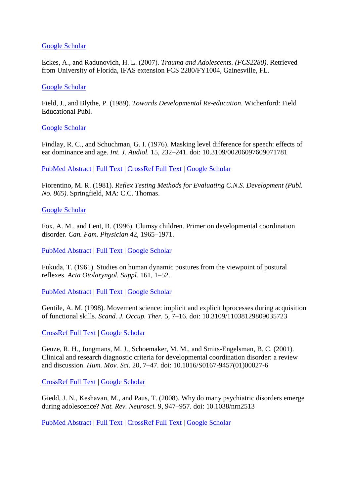#### [Google Scholar](http://scholar.google.com/scholar_lookup?&title=On+the+normal+use+of+reflexes%2E&journal=Am%2E+Sci%2E&author=Easton+T.+A.&publication_year=1972&volume=60&pages=591-599)

Eckes, A., and Radunovich, H. L. (2007). *Trauma and Adolescents. (FCS2280)*. Retrieved from University of Florida, IFAS extension FCS 2280/FY1004, Gainesville, FL.

#### [Google Scholar](http://scholar.google.com/scholar_lookup?&title=Trauma+and+Adolescents%2E++%28FCS2280%29%2E&author=Eckes+A.&author=and+Radunovich+H.++L.&publication_year=2007&volume=1004)

Field, J., and Blythe, P. (1989). *Towards Developmental Re-education*. Wichenford: Field Educational Publ.

#### [Google Scholar](http://scholar.google.com/scholar_lookup?&title=Towards+Developmental+Re-education%2E&author=Field+J.&author=and+Blythe+P.&publication_year=1989)

Findlay, R. C., and Schuchman, G. I. (1976). Masking level difference for speech: effects of ear dominance and age. *Int. J. Audiol.* 15, 232–241. doi: 10.3109/00206097609071781

[PubMed Abstract](http://www.ncbi.nlm.nih.gov/sites/entrez?Db=pubmed&Cmd=ShowDetailView&TermToSearch=938338) | [Full Text](http://eutils.ncbi.nlm.nih.gov/entrez/eutils/elink.fcgi?db=pubmed&cmd=prlinks&retmode=ref&id=938338) | [CrossRef Full Text](http://dx.doi.org/10.3109/00206097609071781) | [Google Scholar](http://scholar.google.com/scholar_lookup?&title=Masking+level+difference+for+speech%3A+effects+of+ear+dominance+and+age%2E&journal=Int%2E+J%2E+Audiol%2E&author=Findlay+R.+C.&author=and+Schuchman+G.+I.&publication_year=1976&volume=15&pages=232-241)

Fiorentino, M. R. (1981). *Reflex Testing Methods for Evaluating C.N.S. Development (Publ. No. 865)*. Springfield, MA: C.C. Thomas.

#### [Google Scholar](http://scholar.google.com/scholar_lookup?&title=Reflex+Testing+Methods+for+Evaluating+C%2EN%2ES%2E++Development+%28Publ%2E+No%2E+865%29%2E&author=Fiorentino+M.+R.&publication_year=1981)

Fox, A. M., and Lent, B. (1996). Clumsy children. Primer on developmental coordination disorder. *Can. Fam. Physician* 42, 1965–1971.

[PubMed Abstract](http://www.ncbi.nlm.nih.gov/sites/entrez?Db=pubmed&Cmd=ShowDetailView&TermToSearch=8894243) | [Full Text](http://eutils.ncbi.nlm.nih.gov/entrez/eutils/elink.fcgi?db=pubmed&cmd=prlinks&retmode=ref&id=8894243) | [Google Scholar](http://scholar.google.com/scholar_lookup?&title=Clumsy+children%2E+Primer+on+developmental+coordination+disorder%2E&journal=Can%2E+Fam%2E+Physician&author=Fox+A.+M.&author=and+Lent+B.&publication_year=1996&volume=42&pages=1965-1971)

Fukuda, T. (1961). Studies on human dynamic postures from the viewpoint of postural reflexes. *Acta Otolaryngol. Suppl.* 161, 1–52.

[PubMed Abstract](http://www.ncbi.nlm.nih.gov/sites/entrez?Db=pubmed&Cmd=ShowDetailView&TermToSearch=13702516) | [Full Text](http://eutils.ncbi.nlm.nih.gov/entrez/eutils/elink.fcgi?db=pubmed&cmd=prlinks&retmode=ref&id=13702516) | [Google Scholar](http://scholar.google.com/scholar_lookup?&title=Studies+on+human+dynamic+postures+from+the+viewpoint+of+postural+reflexes%2E&journal=Acta+Otolaryngol%2E+Suppl%2E&author=Fukuda+T.&publication_year=1961&volume=161&pages=1-52)

Gentile, A. M. (1998). Movement science: implicit and explicit bprocesses during acquisition of functional skills. *Scand. J. Occup. Ther.* 5, 7–16. doi: 10.3109/11038129809035723

[CrossRef Full Text](http://dx.doi.org/10.3109/11038129809035723) | [Google Scholar](http://scholar.google.com/scholar_lookup?&title=Movement+science%3A+implicit+and+explicit+bprocesses+during+acquisition+of+functional+skills%2E&journal=Scand%2E+J%2E+Occup%2E+Ther%2E&author=Gentile+A.+M.&publication_year=1998&volume=5&pages=7-16)

Geuze, R. H., Jongmans, M. J., Schoemaker, M. M., and Smits-Engelsman, B. C. (2001). Clinical and research diagnostic criteria for developmental coordination disorder: a review and discussion. *Hum. Mov. Sci.* 20, 7–47. doi: 10.1016/S0167-9457(01)00027-6

[CrossRef Full Text](http://dx.doi.org/10.1016/S0167-9457%2801%2900027-6) | [Google Scholar](http://scholar.google.com/scholar_lookup?&title=Clinical+and+research+diagnostic+criteria+for+developmental+coordination+disorder%3A+a+review+and+discussion%2E&journal=Hum%2E+Mov%2E+Sci%2E&author=Geuze+R.+H.&author=Jongmans+M.+J.&author=Schoemaker+M.+M.&author=and+Smits-Engelsman+B.++C.&publication_year=2001&volume=20&pages=7-47)

Giedd, J. N., Keshavan, M., and Paus, T. (2008). Why do many psychiatric disorders emerge during adolescence? *Nat. Rev. Neurosci.* 9, 947–957. doi: 10.1038/nrn2513

[PubMed Abstract](http://www.ncbi.nlm.nih.gov/sites/entrez?Db=pubmed&Cmd=ShowDetailView&TermToSearch=19002191) | [Full Text](http://eutils.ncbi.nlm.nih.gov/entrez/eutils/elink.fcgi?db=pubmed&cmd=prlinks&retmode=ref&id=19002191) | [CrossRef Full Text](http://dx.doi.org/10.1038/nrn2513) | [Google Scholar](http://scholar.google.com/scholar_lookup?&title=Why+do+many+psychiatric+disorders+emerge+during+adolescence%B4&journal=Nat%2E+Rev%2E+Neurosci%2E&author=Giedd+J.+N.&author=Keshavan+M.&author=and+Paus+T.&publication_year=2008&volume=9&pages=947-957)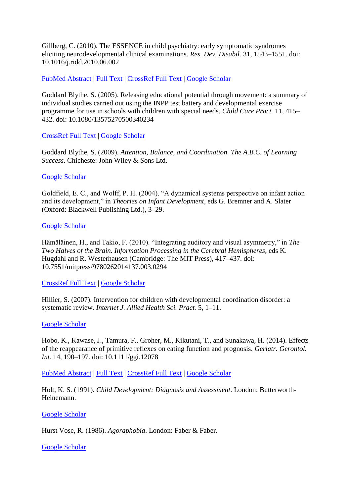Gillberg, C. (2010). The ESSENCE in child psychiatry: early symptomatic syndromes eliciting neurodevelopmental clinical examinations. *Res. Dev. Disabil.* 31, 1543–1551. doi: 10.1016/j.ridd.2010.06.002

#### [PubMed Abstract](http://www.ncbi.nlm.nih.gov/sites/entrez?Db=pubmed&Cmd=ShowDetailView&TermToSearch=20634041) | [Full Text](http://eutils.ncbi.nlm.nih.gov/entrez/eutils/elink.fcgi?db=pubmed&cmd=prlinks&retmode=ref&id=20634041) | [CrossRef Full Text](http://dx.doi.org/10.1016/j.ridd.2010.06.002) | [Google Scholar](http://scholar.google.com/scholar_lookup?&title=The+ESSENCE+in+child+psychiatry%3A+early+symptomatic+syndromes+eliciting+neurodevelopmental+clinical+examinations%2E&journal=Res%2E++Dev%2E++Disabil%2E&author=Gillberg+C.&publication_year=2010&volume=31&pages=1543-1551)

Goddard Blythe, S. (2005). Releasing educational potential through movement: a summary of individual studies carried out using the INPP test battery and developmental exercise programme for use in schools with children with special needs. *Child Care Pract.* 11, 415– 432. doi: 10.1080/13575270500340234

#### [CrossRef Full Text](http://dx.doi.org/10.1080/13575270500340234) | [Google Scholar](http://scholar.google.com/scholar_lookup?&title=Releasing+educational+potential+through+movement%3A+a+summary+of+individual+studies+carried+out+using+the+INPP+test+battery+and+developmental+exercise+programme+for+use+in+schools+with+children+with+special+needs%2E&journal=Child+Care+Pract%2E&author=Goddard+Blythe+S.&publication_year=2005&volume=11&pages=415-432)

Goddard Blythe, S. (2009). *Attention, Balance, and Coordination. The A.B.C. of Learning Success*. Chicheste: John Wiley & Sons Ltd.

#### [Google Scholar](http://scholar.google.com/scholar_lookup?&title=Attention%2C+Balance%2C+and+Coordination%2E++The+A%2EB%2EC%2E+of+Learning+Success%2E&author=Goddard+Blythe+S.&publication_year=2009)

Goldfield, E. C., and Wolff, P. H. (2004). "A dynamical systems perspective on infant action and its development," in *Theories on Infant Development*, eds G. Bremner and A. Slater (Oxford: Blackwell Publishing Ltd.), 3–29.

#### [Google Scholar](http://scholar.google.com/scholar_lookup?&title=%22A+dynamical+systems+perspective+on+infant+action+and+its+development%2C%22+in&journal=Theories+on+Infant+Development&author=Goldfield+E.+C.&author=and+Wolff+P.+H.&publication_year=2004&pages=3-29)

Hämäläinen, H., and Takio, F. (2010). "Integrating auditory and visual asymmetry," in *The Two Halves of the Brain. Information Processing in the Cerebral Hemispheres*, eds K. Hugdahl and R. Westerhausen (Cambridge: The MIT Press), 417–437. doi: 10.7551/mitpress/9780262014137.003.0294

#### [CrossRef Full Text](http://dx.doi.org/10.7551/mitpress/9780262014137.003.0294) | [Google Scholar](http://scholar.google.com/scholar_lookup?&title=%22Integrating+auditory+and+visual+asymmetry%2C%22+in&journal=The+Two+Halves+of+the+Brain%2E+Information+Processing+in+the+Cerebral+Hemispheres&author=H%C3%A4m%C3%A4l%C3%A4inen+H.&author=and+Takio+F.&publication_year=2010&pages=417-437)

Hillier, S. (2007). Intervention for children with developmental coordination disorder: a systematic review. *Internet J. Allied Health Sci. Pract.* 5, 1–11.

#### [Google Scholar](http://scholar.google.com/scholar_lookup?&title=Intervention+for+children+with+developmental+coordination+disorder%3A+a+systematic+review%2E&journal=Internet+J%2E+Allied+Health+Sci%2E+Pract%2E&author=Hillier+S.&publication_year=2007&volume=5&pages=1-11)

Hobo, K., Kawase, J., Tamura, F., Groher, M., Kikutani, T., and Sunakawa, H. (2014). Effects of the reappearance of primitive reflexes on eating function and prognosis. *Geriatr. Gerontol. Int.* 14, 190–197. doi: 10.1111/ggi.12078

[PubMed Abstract](http://www.ncbi.nlm.nih.gov/sites/entrez?Db=pubmed&Cmd=ShowDetailView&TermToSearch=23992100) | [Full Text](http://eutils.ncbi.nlm.nih.gov/entrez/eutils/elink.fcgi?db=pubmed&cmd=prlinks&retmode=ref&id=23992100) | [CrossRef Full Text](http://dx.doi.org/10.1111/ggi.12078) | [Google Scholar](http://scholar.google.com/scholar_lookup?&title=Effects+of+the+reappearance+of+primitive+reflexes+on+eating+function+and+prognosis%2E&journal=Geriatr%2E+Gerontol%2E+Int%2E&author=Hobo+K.&author=Kawase+J.&author=Tamura+F.&author=Groher+M.&author=Kikutani+T.&author=and+Sunakawa+H.&publication_year=2014&volume=14&pages=190-197)

Holt, K. S. (1991). *Child Development: Diagnosis and Assessment*. London: Butterworth-Heinemann.

#### [Google Scholar](http://scholar.google.com/scholar_lookup?&title=Child+Development%3A+Diagnosis+and+Assessment%2E&author=Holt+K.+S.&publication_year=1991)

Hurst Vose, R. (1986). *Agoraphobia*. London: Faber & Faber.

#### [Google Scholar](http://scholar.google.com/scholar_lookup?&title=Agoraphobia%2E&author=Hurst+Vose+R.&publication_year=1986)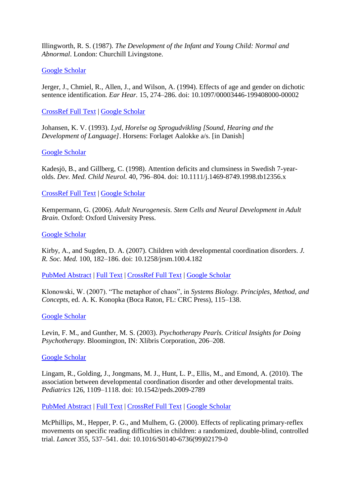Illingworth, R. S. (1987). *The Development of the Infant and Young Child: Normal and Abnormal*. London: Churchill Livingstone.

#### [Google Scholar](http://scholar.google.com/scholar_lookup?&title=The+Development+of+the+Infant+and+Young+Child%3A+Normal+and+Abnormal%2E&author=Illingworth+R.+S.&publication_year=1987)

Jerger, J., Chmiel, R., Allen, J., and Wilson, A. (1994). Effects of age and gender on dichotic sentence identification. *Ear Hear.* 15, 274–286. doi: 10.1097/00003446-199408000-00002

#### [CrossRef Full Text](http://dx.doi.org/10.1097/00003446-199408000-00002) | [Google Scholar](http://scholar.google.com/scholar_lookup?&title=Effects+of+age+and+gender+on+dichotic+sentence+identification%2E&journal=Ear+Hear%2E&author=Jerger+J.&author=Chmiel+R.&author=Allen+J.&author=and+Wilson+A.&publication_year=1994&volume=15&pages=274-286)

Johansen, K. V. (1993). *Lyd, Horelse og Sprogudvikling [Sound, Hearing and the Development of Language]*. Horsens: Forlaget Aalokke a/s. [in Danish]

#### [Google Scholar](http://scholar.google.com/scholar_lookup?&title=Lyd%2C+Horelse+og+Sprogudvikling+%5BSound%2C+Hearing+and+the+Development+of+Language%5D%2E&author=Johansen+K.+V.&publication_year=1993)

Kadesjö, B., and Gillberg, C. (1998). Attention deficits and clumsiness in Swedish 7-yearolds. *Dev. Med. Child Neurol.* 40, 796–804. doi: 10.1111/j.1469-8749.1998.tb12356.x

#### [CrossRef Full Text](http://dx.doi.org/10.1111/j.1469-8749.1998.tb12356.x) | [Google Scholar](http://scholar.google.com/scholar_lookup?&title=Attention+deficits+and+clumsiness+in+Swedish+7-year-olds%2E&journal=Dev%2E++Med%2E++Child+Neurol%2E&author=Kadesj%C3%B6+B.&author=and+Gillberg+C.&publication_year=1998&volume=40&pages=796-804)

Kempermann, G. (2006). *Adult Neurogenesis. Stem Cells and Neural Development in Adult Brain*. Oxford: Oxford University Press.

#### [Google Scholar](http://scholar.google.com/scholar_lookup?&title=Adult+Neurogenesis%2E++Stem+Cells+and+Neural+Development+in+Adult+Brain%2E&author=Kempermann+G.&publication_year=2006)

Kirby, A., and Sugden, D. A. (2007). Children with developmental coordination disorders. *J. R. Soc. Med.* 100, 182–186. doi: 10.1258/jrsm.100.4.182

[PubMed Abstract](http://www.ncbi.nlm.nih.gov/sites/entrez?Db=pubmed&Cmd=ShowDetailView&TermToSearch=17404341) | [Full Text](http://eutils.ncbi.nlm.nih.gov/entrez/eutils/elink.fcgi?db=pubmed&cmd=prlinks&retmode=ref&id=17404341) | [CrossRef Full Text](http://dx.doi.org/10.1258/jrsm.100.4.182) | [Google Scholar](http://scholar.google.com/scholar_lookup?&title=Children+with+developmental+coordination+disorders%2E&journal=J%2E+R%2E+Soc%2E+Med%2E&author=Kirby+A.&author=and+Sugden+D.++A.&publication_year=2007&volume=100&pages=182-186)

Klonowski, W. (2007). "The metaphor of chaos", in *Systems Biology. Principles, Method, and Concepts*, ed. A. K. Konopka (Boca Raton, FL: CRC Press), 115–138.

#### [Google Scholar](http://scholar.google.com/scholar_lookup?&title=%22The+metaphor+of+chaos%22%2C+in&journal=Systems+Biology%2E++Principles%2C+Method%2C+and+Concepts&author=Klonowski+W.&publication_year=2007&pages=115-138)

Levin, F. M., and Gunther, M. S. (2003). *Psychotherapy Pearls. Critical Insights for Doing Psychotherapy*. Bloomington, IN: Xlibris Corporation, 206–208.

#### [Google Scholar](http://scholar.google.com/scholar_lookup?&title=Psychotherapy&author=Levin+F.+M.&author=and+Gunther+M.+S.&publication_year=2003&pages=206-208)

Lingam, R., Golding, J., Jongmans, M. J., Hunt, L. P., Ellis, M., and Emond, A. (2010). The association between developmental coordination disorder and other developmental traits. *Pediatrics* 126, 1109–1118. doi: 10.1542/peds.2009-2789

[PubMed Abstract](http://www.ncbi.nlm.nih.gov/sites/entrez?Db=pubmed&Cmd=ShowDetailView&TermToSearch=20956425) | [Full Text](http://eutils.ncbi.nlm.nih.gov/entrez/eutils/elink.fcgi?db=pubmed&cmd=prlinks&retmode=ref&id=20956425) | [CrossRef Full Text](http://dx.doi.org/10.1542/peds.2009-2789) | [Google Scholar](http://scholar.google.com/scholar_lookup?&title=The+association+between+developmental+coordination+disorder+and+other+developmental+traits%2E&journal=Pediatrics&author=Lingam+R.&author=Golding+J.&author=Jongmans+M.++J.&author=Hunt+L.++P.&author=Ellis+M.&author=and+Emond+A.&publication_year=2010&volume=126&pages=1109-1118)

McPhillips, M., Hepper, P. G., and Mulhem, G. (2000). Effects of replicating primary-reflex movements on specific reading difficulties in children: a randomized, double-blind, controlled trial. *Lancet* 355, 537–541. doi: 10.1016/S0140-6736(99)02179-0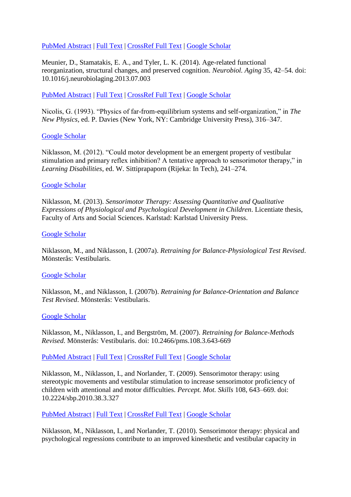### [PubMed Abstract](http://www.ncbi.nlm.nih.gov/sites/entrez?Db=pubmed&Cmd=ShowDetailView&TermToSearch=10683004) | [Full Text](http://eutils.ncbi.nlm.nih.gov/entrez/eutils/elink.fcgi?db=pubmed&cmd=prlinks&retmode=ref&id=10683004) | [CrossRef Full Text](http://dx.doi.org/10.1016/S0140-6736%2899%2902179-0) | [Google Scholar](http://scholar.google.com/scholar_lookup?&title=Effects+of+replicating+primary-reflex+movements+on+specific+reading+difficulties+in+children%3A+a+randomized%2C+double-blind%2C+controlled+trial%2E&journal=Lancet&author=McPhillips+M.&author=Hepper+P.++G.&author=and+Mulhem+G.&publication_year=2000&volume=355&pages=537-541)

Meunier, D., Stamatakis, E. A., and Tyler, L. K. (2014). Age-related functional reorganization, structural changes, and preserved cognition. *Neurobiol. Aging* 35, 42–54. doi: 10.1016/j.neurobiolaging.2013.07.003

[PubMed Abstract](http://www.ncbi.nlm.nih.gov/sites/entrez?Db=pubmed&Cmd=ShowDetailView&TermToSearch=23942392) | [Full Text](http://eutils.ncbi.nlm.nih.gov/entrez/eutils/elink.fcgi?db=pubmed&cmd=prlinks&retmode=ref&id=23942392) | [CrossRef Full Text](http://dx.doi.org/10.1016/j.neurobiolaging.2013.07.003) | [Google Scholar](http://scholar.google.com/scholar_lookup?&title=Age-related+functional+reorganization%2C+structural+changes%2C+and+preserved+cognition%2E&journal=Neurobiol%2E+Aging&author=Meunier+D.&author=Stamatakis+E.++A.&author=and+Tyler+L.++K.&publication_year=2014&volume=35&pages=42-54)

Nicolis, G. (1993). "Physics of far-from-equilibrium systems and self-organization," in *The New Physics*, ed. P. Davies (New York, NY: Cambridge University Press), 316–347.

#### [Google Scholar](http://scholar.google.com/scholar_lookup?&title=%22Physics+of+far-from-equilibrium+systems+and+self-organization%2C%22+in&journal=The+New+Physics&author=Nicolis+G.&publication_year=1993&pages=316-347)

Niklasson, M. (2012). "Could motor development be an emergent property of vestibular stimulation and primary reflex inhibition? A tentative approach to sensorimotor therapy," in *Learning Disabilities*, ed. W. Sittiprapaporn (Rijeka: In Tech), 241–274.

#### [Google Scholar](http://scholar.google.com/scholar_lookup?&title=%22Could+motor+development+be+an+emergent+property+of+vestibular+stimulation+and+primary+reflex+inhibition%B4+A+tentative+approach+to+sensorimotor+therapy%2C%22+in&journal=Learning+Disabilities&author=Niklasson+M.&publication_year=2012&pages=241-274)

Niklasson, M. (2013). *Sensorimotor Therapy: Assessing Quantitative and Qualitative Expressions of Physiological and Psychological Development in Children*. Licentiate thesis, Faculty of Arts and Social Sciences. Karlstad: Karlstad University Press.

#### [Google Scholar](http://scholar.google.com/scholar_lookup?&title=Sensorimotor+Therapy%3A+Assessing+Quantitative+and+Qualitative+Expressions+of+Physiological+and+Psychological+Development+in+Children%2E&author=Niklasson+M.&publication_year=2013)

Niklasson, M., and Niklasson, I. (2007a). *Retraining for Balance-Physiological Test Revised*. Mönsterås: Vestibularis.

#### [Google Scholar](http://scholar.google.com/scholar_lookup?&title=Retraining+for+Balance-Physiological+Test+Revised%2E&author=Niklasson+M.&author=and+Niklasson+I.&publication_year=2007a)

Niklasson, M., and Niklasson, I. (2007b). *Retraining for Balance-Orientation and Balance Test Revised*. Mönsterås: Vestibularis.

#### [Google Scholar](http://scholar.google.com/scholar_lookup?&title=Retraining+for+Balance-Orientation+and+Balance+Test+Revised%2E&author=Niklasson+M.&author=and+Niklasson+I.&publication_year=2007b)

Niklasson, M., Niklasson, I., and Bergström, M. (2007). *Retraining for Balance-Methods Revised*. Mönsterås: Vestibularis. doi: 10.2466/pms.108.3.643-669

#### [PubMed Abstract](http://www.ncbi.nlm.nih.gov/sites/entrez?Db=pubmed&Cmd=ShowDetailView&TermToSearch=19725302) | [Full Text](http://eutils.ncbi.nlm.nih.gov/entrez/eutils/elink.fcgi?db=pubmed&cmd=prlinks&retmode=ref&id=19725302) | [CrossRef Full Text](http://dx.doi.org/10.2466/pms.108.3.643-669) | [Google Scholar](http://scholar.google.com/scholar_lookup?&title=Retraining+for+Balance-Methods+Revised%2E&author=Niklasson+M.&author=Niklasson+I.&author=and+Bergstr%C3%B6m+M.&publication_year=2007)

Niklasson, M., Niklasson, I., and Norlander, T. (2009). Sensorimotor therapy: using stereotypic movements and vestibular stimulation to increase sensorimotor proficiency of children with attentional and motor difficulties. *Percept. Mot. Skills* 108, 643–669. doi: 10.2224/sbp.2010.38.3.327

#### [PubMed Abstract](http://www.ncbi.nlm.nih.gov/sites/entrez?Db=pubmed&Cmd=ShowDetailView&TermToSearch=19725302) | [Full Text](http://eutils.ncbi.nlm.nih.gov/entrez/eutils/elink.fcgi?db=pubmed&cmd=prlinks&retmode=ref&id=19725302) | [CrossRef Full Text](http://dx.doi.org/10.2224/sbp.2010.38.3.327) | [Google Scholar](http://scholar.google.com/scholar_lookup?&title=Sensorimotor+therapy%3A+using+stereotypic+movements+and+vestibular+stimulation+to+increase+sensorimotor+proficiency+of+children+with+attentional+and+motor+difficulties%2E&journal=Percept%2E+Mot%2E+Skills&author=Niklasson+M.&author=Niklasson+I.&author=and+Norlander+T.&publication_year=2009&volume=108&pages=643-669)

Niklasson, M., Niklasson, I., and Norlander, T. (2010). Sensorimotor therapy: physical and psychological regressions contribute to an improved kinesthetic and vestibular capacity in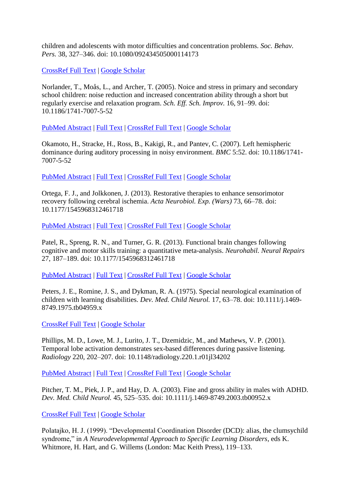children and adolescents with motor difficulties and concentration problems. *Soc. Behav. Pers.* 38, 327–346. doi: 10.1080/092434505000114173

[CrossRef Full Text](http://dx.doi.org/10.1080/092434505000114173) | [Google Scholar](http://scholar.google.com/scholar_lookup?&title=Sensorimotor+therapy%3A+physical+and+psychological+regressions+contribute+to+an+improved+kinesthetic+and+vestibular+capacity+in+children+and+adolescents+with+motor+difficulties+and+concentration+problems%2E&journal=Soc%2E+Behav%2E+Pers%2E&author=Niklasson+M.&author=Niklasson+I.&author=and+Norlander+T.&publication_year=2010&volume=38&pages=327-346)

Norlander, T., Moås, L., and Archer, T. (2005). Noice and stress in primary and secondary school children: noise reduction and increased concentration ability through a short but regularly exercise and relaxation program. *Sch. Eff. Sch. Improv.* 16, 91–99. doi: 10.1186/1741-7007-5-52

[PubMed Abstract](http://www.ncbi.nlm.nih.gov/sites/entrez?Db=pubmed&Cmd=ShowDetailView&TermToSearch=18005401) | [Full Text](http://eutils.ncbi.nlm.nih.gov/entrez/eutils/elink.fcgi?db=pubmed&cmd=prlinks&retmode=ref&id=18005401) | [CrossRef Full Text](http://dx.doi.org/10.1186/1741-7007-5-52) | [Google Scholar](http://scholar.google.com/scholar_lookup?&title=Noice+and+stress+in+primary+and+secondary+school+children%3A+noise+reduction+and+increased+concentration+ability+through+a+short+but+regularly+exercise+and+relaxation+program%2E&journal=Sch%2E+Eff%2E++Sch%2E+Improv%2E&author=Norlander+T.&author=Mo%C3%A5s+L.&author=and+Archer+T.&publication_year=2005&volume=16&pages=91-99)

Okamoto, H., Stracke, H., Ross, B., Kakigi, R., and Pantev, C. (2007). Left hemispheric dominance during auditory processing in noisy environment. *BMC* 5:52. doi: 10.1186/1741- 7007-5-52

[PubMed Abstract](http://www.ncbi.nlm.nih.gov/sites/entrez?Db=pubmed&Cmd=ShowDetailView&TermToSearch=18005401) | [Full Text](http://eutils.ncbi.nlm.nih.gov/entrez/eutils/elink.fcgi?db=pubmed&cmd=prlinks&retmode=ref&id=18005401) | [CrossRef Full Text](http://dx.doi.org/10.1186/1741-7007-5-52) | [Google Scholar](http://scholar.google.com/scholar_lookup?&title=Left+hemispheric+dominance+during+auditory+processing+in+noisy+environment%2E&journal=BMC&author=Okamoto+H.&author=Stracke+H.&author=Ross+B.&author=Kakigi+R.&author=and+Pantev+C.&publication_year=2007)

Ortega, F. J., and Jolkkonen, J. (2013). Restorative therapies to enhance sensorimotor recovery following cerebral ischemia. *Acta Neurobiol. Exp. (Wars)* 73, 66–78. doi: 10.1177/1545968312461718

[PubMed Abstract](http://www.ncbi.nlm.nih.gov/sites/entrez?Db=pubmed&Cmd=ShowDetailView&TermToSearch=23093519) | [Full Text](http://eutils.ncbi.nlm.nih.gov/entrez/eutils/elink.fcgi?db=pubmed&cmd=prlinks&retmode=ref&id=23093519) | [CrossRef Full Text](http://dx.doi.org/10.1177/1545968312461718) | [Google Scholar](http://scholar.google.com/scholar_lookup?&title=Restorative+therapies+to+enhance+sensorimotor+recovery+following+cerebral+ischemia%2E&journal=Acta+Neurobiol%2E+Exp%2E+%28Wars%29&author=Ortega+F.+J.&author=and+Jolkkonen+J.&publication_year=2013&volume=73&pages=66-78)

Patel, R., Spreng, R. N., and Turner, G. R. (2013). Functional brain changes following cognitive and motor skills training: a quantitative meta-analysis. *Neurohabil. Neural Repairs* 27, 187–189. doi: 10.1177/1545968312461718

[PubMed Abstract](http://www.ncbi.nlm.nih.gov/sites/entrez?Db=pubmed&Cmd=ShowDetailView&TermToSearch=23093519) | [Full Text](http://eutils.ncbi.nlm.nih.gov/entrez/eutils/elink.fcgi?db=pubmed&cmd=prlinks&retmode=ref&id=23093519) | [CrossRef Full Text](http://dx.doi.org/10.1177/1545968312461718) | [Google Scholar](http://scholar.google.com/scholar_lookup?&title=Functional+brain+changes+following+cognitive+and+motor+skills+training%3A+a+quantitative+meta-analysis%2E&journal=Neurohabil%2E+Neural+Repairs&author=Patel+R.&author=Spreng+R.+N.&author=and+Turner+G.+R.&publication_year=2013&volume=27&pages=187-189)

Peters, J. E., Romine, J. S., and Dykman, R. A. (1975). Special neurological examination of children with learning disabilities. *Dev. Med. Child Neurol.* 17, 63–78. doi: 10.1111/j.1469- 8749.1975.tb04959.x

[CrossRef Full Text](http://dx.doi.org/10.1111/j.1469-8749.1975.tb04959.x) | [Google Scholar](http://scholar.google.com/scholar_lookup?&title=Special+neurological+examination+of+children+with+learning+disabilities%2E&journal=Dev%2E+Med%2E+Child+Neurol%2E&author=Peters+J.+E.&author=Romine+J.+S.&author=and+Dykman+R.+A.&publication_year=1975&volume=17&pages=63-78)

Phillips, M. D., Lowe, M. J., Lurito, J. T., Dzemidzic, M., and Mathews, V. P. (2001). Temporal lobe activation demonstrates sex-based differences during passive listening. *Radiology* 220, 202–207. doi: 10.1148/radiology.220.1.r01jl34202

[PubMed Abstract](http://www.ncbi.nlm.nih.gov/sites/entrez?Db=pubmed&Cmd=ShowDetailView&TermToSearch=11425998) | [Full Text](http://eutils.ncbi.nlm.nih.gov/entrez/eutils/elink.fcgi?db=pubmed&cmd=prlinks&retmode=ref&id=11425998) | [CrossRef Full Text](http://dx.doi.org/10.1148/radiology.220.1.r01jl34202) | [Google Scholar](http://scholar.google.com/scholar_lookup?&title=Temporal+lobe+activation+demonstrates+sex-based+differences+during+passive+listening%2E&journal=Radiology&author=Phillips+M.++D.&author=Lowe+M.++J.&author=Lurito+J.++T.&author=Dzemidzic+M.&author=and+Mathews+V.++P.&publication_year=2001&volume=220&pages=202-207)

Pitcher, T. M., Piek, J. P., and Hay, D. A. (2003). Fine and gross ability in males with ADHD. *Dev. Med. Child Neurol.* 45, 525–535. doi: 10.1111/j.1469-8749.2003.tb00952.x

[CrossRef Full Text](http://dx.doi.org/10.1111/j.1469-8749.2003.tb00952.x) | [Google Scholar](http://scholar.google.com/scholar_lookup?&title=Fine+and+gross+ability+in+males+with+ADHD%2E&journal=Dev%2E++Med%2E++Child+Neurol%2E&author=Pitcher+T.++M.&author=Piek+J.++P.&author=and+Hay+D.++A.&publication_year=2003&volume=45&pages=525-535)

Polatajko, H. J. (1999). "Developmental Coordination Disorder (DCD): alias, the clumsychild syndrome," in *A Neurodevelopmental Approach to Specific Learning Disorders*, eds K. Whitmore, H. Hart, and G. Willems (London: Mac Keith Press), 119–133.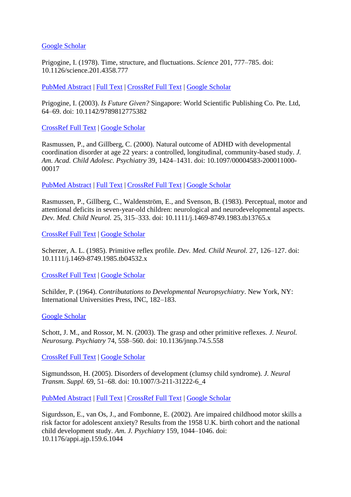[Google Scholar](http://scholar.google.com/scholar_lookup?&title=%22Developmental+Coordination+Disorder+%28DCD%29%3A+alias%2C+the+clumsychild+syndrome%2C%22+in&journal=A+Neurodevelopmental+Approach+to+Specific+Learning+Disorders&author=Polatajko+H.+J.&publication_year=1999&pages=119-133)

Prigogine, I. (1978). Time, structure, and fluctuations. *Science* 201, 777–785. doi: 10.1126/science.201.4358.777

[PubMed Abstract](http://www.ncbi.nlm.nih.gov/sites/entrez?Db=pubmed&Cmd=ShowDetailView&TermToSearch=17738519) | [Full Text](http://eutils.ncbi.nlm.nih.gov/entrez/eutils/elink.fcgi?db=pubmed&cmd=prlinks&retmode=ref&id=17738519) | [CrossRef Full Text](http://dx.doi.org/10.1126/science.201.4358.777) | [Google Scholar](http://scholar.google.com/scholar_lookup?&title=Time%2C+structure%2C+and+fluctuations%2E&journal=Science&author=Prigogine+I.&publication_year=1978&volume=201&pages=777-785)

Prigogine, I. (2003). *Is Future Given?* Singapore: World Scientific Publishing Co. Pte. Ltd, 64–69. doi: 10.1142/9789812775382

[CrossRef Full Text](http://dx.doi.org/10.1142/9789812775382) | [Google Scholar](http://scholar.google.com/scholar_lookup?&title=Is+Future+Given%B4&author=Prigogine+I.&publication_year=2003&pages=64-69)

Rasmussen, P., and Gillberg, C. (2000). Natural outcome of ADHD with developmental coordination disorder at age 22 years: a controlled, longitudinal, community-based study. *J. Am. Acad. Child Adolesc. Psychiatry* 39, 1424–1431. doi: 10.1097/00004583-200011000- 00017

[PubMed Abstract](http://www.ncbi.nlm.nih.gov/sites/entrez?Db=pubmed&Cmd=ShowDetailView&TermToSearch=11068898) | [Full Text](http://eutils.ncbi.nlm.nih.gov/entrez/eutils/elink.fcgi?db=pubmed&cmd=prlinks&retmode=ref&id=11068898) | [CrossRef Full Text](http://dx.doi.org/10.1097/00004583-200011000-00017) | [Google Scholar](http://scholar.google.com/scholar_lookup?&title=Natural+outcome+of+ADHD+with+developmental+coordination+disorder+at+age+22+years%3A+a+controlled%2C+longitudinal%2C+community-based+study%2E&journal=J%2E+Am%2E+Acad%2E+Child+Adolesc%2E+Psychiatry&author=Rasmussen+P.&author=and+Gillberg+C.&publication_year=2000&volume=39&pages=1424-1431)

Rasmussen, P., Gillberg, C., Waldenström, E., and Svenson, B. (1983). Perceptual, motor and attentional deficits in seven-year-old children: neurological and neurodevelopmental aspects. *Dev. Med. Child Neurol.* 25, 315–333. doi: 10.1111/j.1469-8749.1983.tb13765.x

[CrossRef Full Text](http://dx.doi.org/10.1111/j.1469-8749.1983.tb13765.x) | [Google Scholar](http://scholar.google.com/scholar_lookup?&title=Perceptual%2C+motor+and+attentional+deficits+in+seven-year-old+children%3A+neurological+and+neurodevelopmental+aspects%2E&journal=Dev%2E+Med%2E+Child+Neurol%2E&author=Rasmussen+P.&author=Gillberg+C.&author=Waldenstr%C3%B6m+E.&author=and+Svenson+B.&publication_year=1983&volume=25&pages=315-333)

Scherzer, A. L. (1985). Primitive reflex profile. *Dev. Med. Child Neurol.* 27, 126–127. doi: 10.1111/j.1469-8749.1985.tb04532.x

[CrossRef Full Text](http://dx.doi.org/10.1111/j.1469-8749.1985.tb04532.x) | [Google Scholar](http://scholar.google.com/scholar_lookup?&title=Primitive+reflex+profile%2E&journal=Dev%2E+Med%2E+Child+Neurol%2E&author=Scherzer+A.+L.&publication_year=1985&volume=27&pages=126-127)

Schilder, P. (1964). *Contributations to Developmental Neuropsychiatry*. New York, NY: International Universities Press, INC, 182–183.

[Google Scholar](http://scholar.google.com/scholar_lookup?&title=Contributations+to+Developmental+Neuropsychiatry%2E&author=Schilder+P.&publication_year=1964&pages=182-183)

Schott, J. M., and Rossor, M. N. (2003). The grasp and other primitive reflexes. *J. Neurol. Neurosurg. Psychiatry* 74, 558–560. doi: 10.1136/jnnp.74.5.558

[CrossRef Full Text](http://dx.doi.org/10.1136/jnnp.74.5.558) | [Google Scholar](http://scholar.google.com/scholar_lookup?&title=The+grasp+and+other+primitive+reflexes%2E&journal=J%2E++Neurol%2E++Neurosurg%2E++Psychiatry&author=Schott+J.++M.&author=and+Rossor+M.++N.&publication_year=2003&volume=74&pages=558-560)

Sigmundsson, H. (2005). Disorders of development (clumsy child syndrome). *J. Neural Transm. Suppl.* 69, 51–68. doi: 10.1007/3-211-31222-6\_4

[PubMed Abstract](http://www.ncbi.nlm.nih.gov/sites/entrez?Db=pubmed&Cmd=ShowDetailView&TermToSearch=16355603) | [Full Text](http://eutils.ncbi.nlm.nih.gov/entrez/eutils/elink.fcgi?db=pubmed&cmd=prlinks&retmode=ref&id=16355603) | [CrossRef Full Text](http://dx.doi.org/10.1007/3-211-31222-6_4) | [Google Scholar](http://scholar.google.com/scholar_lookup?&title=Disorders+of+development+%28clumsy+child+syndrome%29%2E&journal=J%2E+Neural+Transm%2E+Suppl%2E&author=Sigmundsson+H.&publication_year=2005&volume=69&pages=51-68)

Sigurdsson, E., van Os, J., and Fombonne, E. (2002). Are impaired childhood motor skills a risk factor for adolescent anxiety? Results from the 1958 U.K. birth cohort and the national child development study. *Am. J. Psychiatry* 159, 1044–1046. doi: 10.1176/appi.ajp.159.6.1044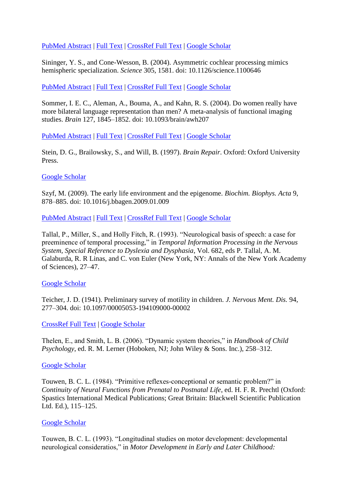[PubMed Abstract](http://www.ncbi.nlm.nih.gov/sites/entrez?Db=pubmed&Cmd=ShowDetailView&TermToSearch=12042195) | [Full Text](http://eutils.ncbi.nlm.nih.gov/entrez/eutils/elink.fcgi?db=pubmed&cmd=prlinks&retmode=ref&id=12042195) | [CrossRef Full Text](http://dx.doi.org/10.1176/appi.ajp.159.6.1044) | [Google Scholar](http://scholar.google.com/scholar_lookup?&title=Are+impaired+childhood+motor+skills+a+risk+factor+for+adolescent+anxiety%B4+Results+from+the+1958+U%2EK%2E++birth+cohort+and+the+national+child+development+study%2E&journal=Am%2E+J%2E+Psychiatry&author=Sigurdsson+E.&author=van+Os+J.&author=and+Fombonne+E.&publication_year=2002&volume=159&pages=1044-1046)

Sininger, Y. S., and Cone-Wesson, B. (2004). Asymmetric cochlear processing mimics hemispheric specialization. *Science* 305, 1581. doi: 10.1126/science.1100646

[PubMed Abstract](http://www.ncbi.nlm.nih.gov/sites/entrez?Db=pubmed&Cmd=ShowDetailView&TermToSearch=15361617) | [Full Text](http://eutils.ncbi.nlm.nih.gov/entrez/eutils/elink.fcgi?db=pubmed&cmd=prlinks&retmode=ref&id=15361617) | [CrossRef Full Text](http://dx.doi.org/10.1126/science.1100646) | [Google Scholar](http://scholar.google.com/scholar_lookup?&title=Asymmetric+cochlear+processing+mimics+hemispheric+specialization%2E&journal=Science&author=Sininger+Y.++S.&author=and+Cone-Wesson+B.&publication_year=2004&volume=305&issue=1581)

Sommer, I. E. C., Aleman, A., Bouma, A., and Kahn, R. S. (2004). Do women really have more bilateral language representation than men? A meta-analysis of functional imaging studies. *Brain* 127, 1845–1852. doi: 10.1093/brain/awh207

[PubMed Abstract](http://www.ncbi.nlm.nih.gov/sites/entrez?Db=pubmed&Cmd=ShowDetailView&TermToSearch=15240433) | [Full Text](http://eutils.ncbi.nlm.nih.gov/entrez/eutils/elink.fcgi?db=pubmed&cmd=prlinks&retmode=ref&id=15240433) | [CrossRef Full Text](http://dx.doi.org/10.1093/brain/awh207) | [Google Scholar](http://scholar.google.com/scholar_lookup?&title=Do+women+really+have+more+bilateral+language+representation+than+men%B4++A+meta-analysis+of+functional+imaging+studies%2E&journal=Brain&author=Sommer+I.++E.++C.&author=Aleman+A.&author=Bouma+A.&author=and+Kahn+R.++S.&publication_year=2004&volume=127&pages=1845-1852)

Stein, D. G., Brailowsky, S., and Will, B. (1997). *Brain Repair*. Oxford: Oxford University Press.

#### [Google Scholar](http://scholar.google.com/scholar_lookup?&title=Brain+Repair%2E&author=Stein+D.+G.&author=Brailowsky+S.&author=and+Will+B.&publication_year=1997)

Szyf, M. (2009). The early life environment and the epigenome. *Biochim. Biophys. Acta* 9, 878–885. doi: 10.1016/j.bbagen.2009.01.009

[PubMed Abstract](http://www.ncbi.nlm.nih.gov/sites/entrez?Db=pubmed&Cmd=ShowDetailView&TermToSearch=19364482) | [Full Text](http://eutils.ncbi.nlm.nih.gov/entrez/eutils/elink.fcgi?db=pubmed&cmd=prlinks&retmode=ref&id=19364482) | [CrossRef Full Text](http://dx.doi.org/10.1016/j.bbagen.2009.01.009) | [Google Scholar](http://scholar.google.com/scholar_lookup?&title=The+early+life+environment+and+the+epigenome%2E&journal=Biochim%2E++Biophys%2E+Acta&author=Szyf+M.&publication_year=2009&volume=9&pages=878-885)

Tallal, P., Miller, S., and Holly Fitch, R. (1993). "Neurological basis of speech: a case for preeminence of temporal processing," in *Temporal Information Processing in the Nervous System, Special Reference to Dyslexia and Dysphasia*, Vol. 682, eds P. Tallal, A. M. Galaburda, R. R Linas, and C. von Euler (New York, NY: Annals of the New York Academy of Sciences), 27–47.

#### [Google Scholar](http://scholar.google.com/scholar_lookup?&title=%22Neurological+basis+of+speech%3A+a+case+for+preeminence+of+temporal+processing%2C%22+in&journal=Temporal+Information+Processing+in+the+Nervous+System%2C+Special+Reference+to+Dyslexia+and+Dysphasia&author=Tallal+P.&author=Miller+S.&author=and+Holly+Fitch+R.&publication_year=1993&volume=682&pages=27-47)

Teicher, J. D. (1941). Preliminary survey of motility in children. *J. Nervous Ment. Dis.* 94, 277–304. doi: 10.1097/00005053-194109000-00002

[CrossRef Full Text](http://dx.doi.org/10.1097/00005053-194109000-00002) | [Google Scholar](http://scholar.google.com/scholar_lookup?&title=Preliminary+survey+of+motility+in+children%2E&journal=J%2E+Nervous+Ment%2E+Dis%2E&author=Teicher+J.+D.&publication_year=1941&volume=94&pages=277-304)

Thelen, E., and Smith, L. B. (2006). "Dynamic system theories," in *Handbook of Child Psychology*, ed. R. M. Lerner (Hoboken, NJ; John Wiley & Sons. Inc.), 258–312.

#### [Google Scholar](http://scholar.google.com/scholar_lookup?&title=%22Dynamic+system+theories%2C%22+in&journal=Handbook+of+Child+Psychology&author=Thelen+E.&author=and+Smith+L.+B.&publication_year=2006&pages=258-312)

Touwen, B. C. L. (1984). "Primitive reflexes-conceptional or semantic problem?" in *Continuity of Neural Functions from Prenatal to Postnatal Life*, ed. H. F. R. Prechtl (Oxford: Spastics International Medical Publications; Great Britain: Blackwell Scientific Publication Ltd. Ed.), 115–125.

#### [Google Scholar](http://scholar.google.com/scholar_lookup?&title=%22Primitive+reflexes-conceptional+or+semantic+problem%B4%22+in&journal=Continuity+of+Neural+Functions+from+Prenatal+to+Postnatal+Life&author=Touwen+B.++C.++L.&publication_year=1984&pages=115-125)

Touwen, B. C. L. (1993). "Longitudinal studies on motor development: developmental neurological consideratios," in *Motor Development in Early and Later Childhood:*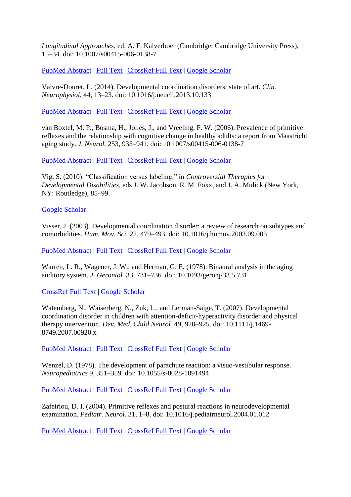*Longitudinal Approaches*, ed. A. F. Kalverboer (Cambridge: Cambridge University Press), 15–34. doi: 10.1007/s00415-006-0138-7

[PubMed Abstract](http://www.ncbi.nlm.nih.gov/sites/entrez?Db=pubmed&Cmd=ShowDetailView&TermToSearch=16511641) | [Full Text](http://eutils.ncbi.nlm.nih.gov/entrez/eutils/elink.fcgi?db=pubmed&cmd=prlinks&retmode=ref&id=16511641) | [CrossRef Full Text](http://dx.doi.org/10.1007/s00415-006-0138-7) | [Google Scholar](http://scholar.google.com/scholar_lookup?&title=%22Longitudinal+studies+on+motor+development%3A+developmental+neurological+consideratios%2C%22+in&journal=Motor+Development+in+Early+and+Later+Childhood%3A+Longitudinal+Approaches&author=Touwen+B.++C.++L.&publication_year=1993&pages=15-34)

Vaivre-Douret, L. (2014). Developmental coordination disorders: state of art. *Clin. Neurophysiol.* 44, 13–23. doi: 10.1016/j.neucli.2013.10.133

[PubMed Abstract](http://www.ncbi.nlm.nih.gov/sites/entrez?Db=pubmed&Cmd=ShowDetailView&TermToSearch=24502901) | [Full Text](http://eutils.ncbi.nlm.nih.gov/entrez/eutils/elink.fcgi?db=pubmed&cmd=prlinks&retmode=ref&id=24502901) | [CrossRef Full Text](http://dx.doi.org/10.1016/j.neucli.2013.10.133) | [Google Scholar](http://scholar.google.com/scholar_lookup?&title=Developmental+coordination+disorders%3A+state+of+art%2E&journal=Clin%2E+Neurophysiol%2E&author=Vaivre-Douret+L.&publication_year=2014&volume=44&pages=13-23)

van Boxtel, M. P., Bosma, H., Jolles, J., and Vreeling, F. W. (2006). Prevalence of primitive reflexes and the relationship with cognitive change in healthy adults: a report from Maastricht aging study. *J. Neurol.* 253, 935–941. doi: 10.1007/s00415-006-0138-7

[PubMed Abstract](http://www.ncbi.nlm.nih.gov/sites/entrez?Db=pubmed&Cmd=ShowDetailView&TermToSearch=16511641) | [Full Text](http://eutils.ncbi.nlm.nih.gov/entrez/eutils/elink.fcgi?db=pubmed&cmd=prlinks&retmode=ref&id=16511641) | [CrossRef Full Text](http://dx.doi.org/10.1007/s00415-006-0138-7) | [Google Scholar](http://scholar.google.com/scholar_lookup?&title=Prevalence+of+primitive+reflexes+and+the+relationship+with+cognitive+change+in+healthy+adults%3A+a+report+from+Maastricht+aging+study%2E&journal=J%2E+Neurol%2E&author=van+Boxtel+M.++P.&author=Bosma+H.&author=Jolles+J.&author=and+Vreeling+F.++W.&publication_year=2006&volume=253&pages=935-941)

Vig, S. (2010). "Classification versus labeling," in *Controversial Therapies for Developmental Disabilities*, eds J. W. Jacobson, R. M. Foxx, and J. A. Mulick (New York, NY: Routledge), 85–99.

#### [Google Scholar](http://scholar.google.com/scholar_lookup?&title=%22Classification+versus+labeling%2C%22+in&journal=Controversial+Therapies+for+Developmental+Disabilities&author=Vig+S.&publication_year=2010&pages=85-99)

Visser, J. (2003). Developmental coordination disorder: a review of research on subtypes and comorbidities. *Hum. Mov. Sci.* 22, 479–493. doi: 10.1016/j.humov.2003.09.005

[PubMed Abstract](http://www.ncbi.nlm.nih.gov/sites/entrez?Db=pubmed&Cmd=ShowDetailView&TermToSearch=14624829) | [Full Text](http://eutils.ncbi.nlm.nih.gov/entrez/eutils/elink.fcgi?db=pubmed&cmd=prlinks&retmode=ref&id=14624829) | [CrossRef Full Text](http://dx.doi.org/10.1016/j.humov.2003.09.005) | [Google Scholar](http://scholar.google.com/scholar_lookup?&title=Developmental+coordination+disorder%3A+a+review+of+research+on+subtypes+and+comorbidities%2E&journal=Hum%2E+Mov%2E+Sci%2E&author=Visser+J.&publication_year=2003&volume=22&pages=479-493)

Warren, L. R., Wagener, J. W., and Herman, G. E. (1978). Binaural analysis in the aging auditory system. *J. Gerontol.* 33, 731–736. doi: 10.1093/geronj/33.5.731

[CrossRef Full Text](http://dx.doi.org/10.1093/geronj/33.5.731) | [Google Scholar](http://scholar.google.com/scholar_lookup?&title=Binaural+analysis+in+the+aging+auditory+system%2E&journal=J%2E++Gerontol%2E&author=Warren+L.++R.&author=Wagener+J.++W.&author=and+Herman+G.++E.&publication_year=1978&volume=33&pages=731-736)

Watemberg, N., Waiserberg, N., Zuk, L., and Lerman-Saige, T. (2007). Developmental coordination disorder in children with attention-deficit-hyperactivity disorder and physical therapy intervention. *Dev. Med. Child Neurol.* 49, 920–925. doi: 10.1111/j.1469- 8749.2007.00920.x

[PubMed Abstract](http://www.ncbi.nlm.nih.gov/sites/entrez?Db=pubmed&Cmd=ShowDetailView&TermToSearch=18039239) | [Full Text](http://eutils.ncbi.nlm.nih.gov/entrez/eutils/elink.fcgi?db=pubmed&cmd=prlinks&retmode=ref&id=18039239) | [CrossRef Full Text](http://dx.doi.org/10.1111/j.1469-8749.2007.00920.x) | [Google Scholar](http://scholar.google.com/scholar_lookup?&title=Developmental+coordination+disorder+in+children+with+attention-deficit-hyperactivity+disorder+and+physical+therapy+intervention%2E&journal=Dev%2E+Med%2E+Child+Neurol%2E&author=Watemberg+N.&author=Waiserberg+N.&author=Zuk+L.&author=and+Lerman-Saige+T.&publication_year=2007&volume=49&pages=920-925)

Wenzel, D. (1978). The development of parachute reaction: a visuo-vestibular response. *Neuropediatrics* 9, 351–359. doi: 10.1055/s-0028-1091494

[PubMed Abstract](http://www.ncbi.nlm.nih.gov/sites/entrez?Db=pubmed&Cmd=ShowDetailView&TermToSearch=311450) | [Full Text](http://eutils.ncbi.nlm.nih.gov/entrez/eutils/elink.fcgi?db=pubmed&cmd=prlinks&retmode=ref&id=311450) | [CrossRef Full Text](http://dx.doi.org/10.1055/s-0028-1091494) | [Google Scholar](http://scholar.google.com/scholar_lookup?&title=The+development+of+parachute+reaction%3A+a+visuo-vestibular+response%2E&journal=Neuropediatrics&author=Wenzel+D.&publication_year=1978&volume=9&pages=351-359)

Zafeiriou, D. I. (2004). Primitive reflexes and postural reactions in neurodevelopmental examination. *Pediatr. Neurol.* 31, 1–8. doi: 10.1016/j.pediatrneurol.2004.01.012

[PubMed Abstract](http://www.ncbi.nlm.nih.gov/sites/entrez?Db=pubmed&Cmd=ShowDetailView&TermToSearch=15246484) | [Full Text](http://eutils.ncbi.nlm.nih.gov/entrez/eutils/elink.fcgi?db=pubmed&cmd=prlinks&retmode=ref&id=15246484) | [CrossRef Full Text](http://dx.doi.org/10.1016/j.pediatrneurol.2004.01.012) | [Google Scholar](http://scholar.google.com/scholar_lookup?&title=Primitive+reflexes+and+postural+reactions+in+neurodevelopmental+examination%2E&journal=Pediatr%2E+Neurol%2E&author=Zafeiriou+D.++I.&publication_year=2004&volume=31&pages=1-8)